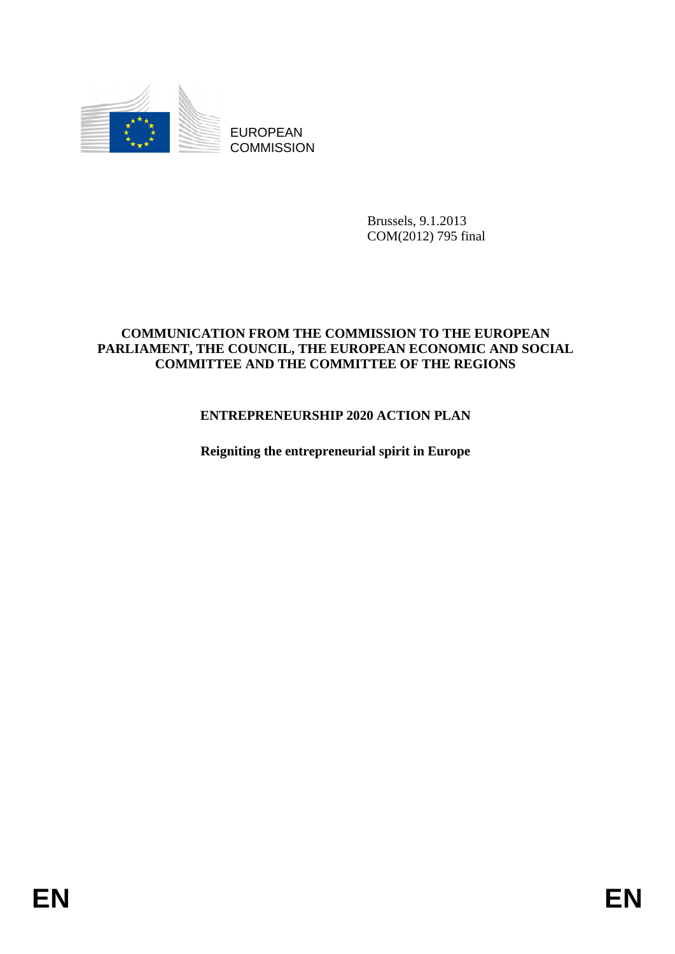

EUROPEAN **COMMISSION** 

> Brussels, 9.1.2013 COM(2012) 795 final

#### **COMMUNICATION FROM THE COMMISSION TO THE EUROPEAN PARLIAMENT, THE COUNCIL, THE EUROPEAN ECONOMIC AND SOCIAL COMMITTEE AND THE COMMITTEE OF THE REGIONS**

# **ENTREPRENEURSHIP 2020 ACTION PLAN**

**Reigniting the entrepreneurial spirit in Europe**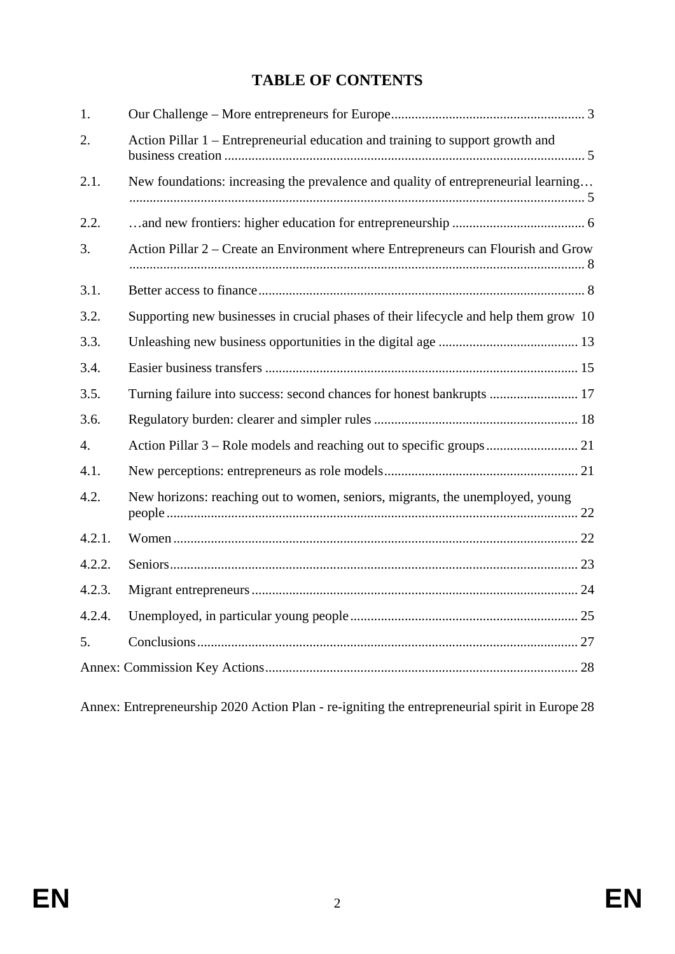# **TABLE OF CONTENTS**

| 1.     |                                                                                      |
|--------|--------------------------------------------------------------------------------------|
| 2.     | Action Pillar 1 – Entrepreneurial education and training to support growth and       |
| 2.1.   | New foundations: increasing the prevalence and quality of entrepreneurial learning   |
| 2.2.   |                                                                                      |
| 3.     | Action Pillar 2 – Create an Environment where Entrepreneurs can Flourish and Grow    |
| 3.1.   |                                                                                      |
| 3.2.   | Supporting new businesses in crucial phases of their lifecycle and help them grow 10 |
| 3.3.   |                                                                                      |
| 3.4.   |                                                                                      |
| 3.5.   | Turning failure into success: second chances for honest bankrupts  17                |
| 3.6.   |                                                                                      |
| 4.     |                                                                                      |
| 4.1.   |                                                                                      |
| 4.2.   | New horizons: reaching out to women, seniors, migrants, the unemployed, young        |
| 4.2.1. |                                                                                      |
| 4.2.2. |                                                                                      |
| 4.2.3. |                                                                                      |
| 4.2.4. |                                                                                      |
| 5.     |                                                                                      |
|        |                                                                                      |

Annex: Entrepreneurship 2020 Action Plan - re-igniting the entrepreneurial spirit in Europ[e 28](#page-27-1)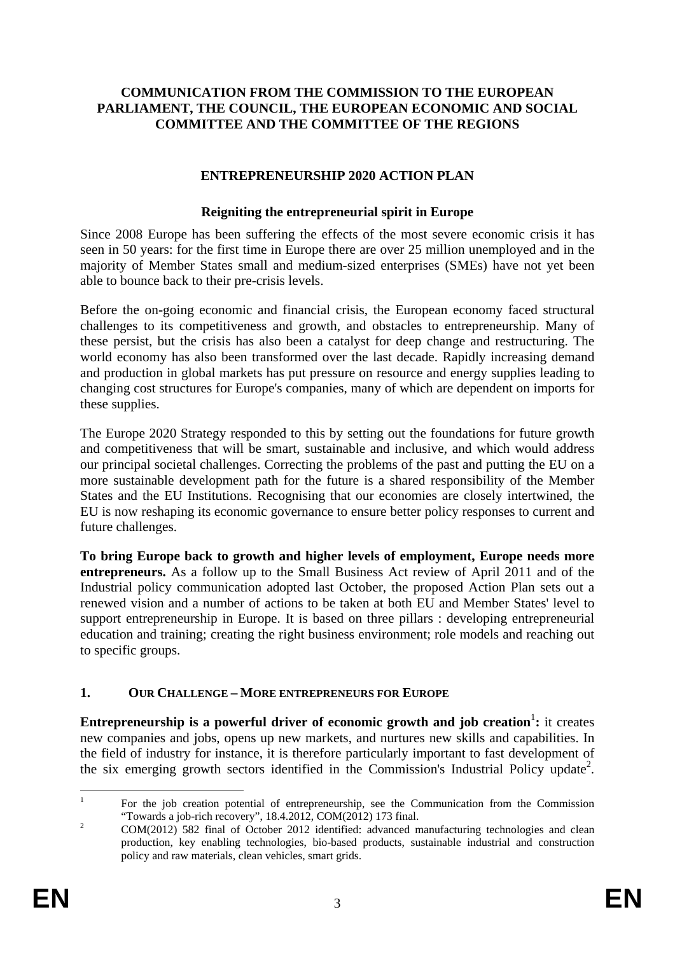#### **COMMUNICATION FROM THE COMMISSION TO THE EUROPEAN PARLIAMENT, THE COUNCIL, THE EUROPEAN ECONOMIC AND SOCIAL COMMITTEE AND THE COMMITTEE OF THE REGIONS**

#### **ENTREPRENEURSHIP 2020 ACTION PLAN**

#### **Reigniting the entrepreneurial spirit in Europe**

Since 2008 Europe has been suffering the effects of the most severe economic crisis it has seen in 50 years: for the first time in Europe there are over 25 million unemployed and in the majority of Member States small and medium-sized enterprises (SMEs) have not yet been able to bounce back to their pre-crisis levels.

Before the on-going economic and financial crisis, the European economy faced structural challenges to its competitiveness and growth, and obstacles to entrepreneurship. Many of these persist, but the crisis has also been a catalyst for deep change and restructuring. The world economy has also been transformed over the last decade. Rapidly increasing demand and production in global markets has put pressure on resource and energy supplies leading to changing cost structures for Europe's companies, many of which are dependent on imports for these supplies.

The Europe 2020 Strategy responded to this by setting out the foundations for future growth and competitiveness that will be smart, sustainable and inclusive, and which would address our principal societal challenges. Correcting the problems of the past and putting the EU on a more sustainable development path for the future is a shared responsibility of the Member States and the EU Institutions. Recognising that our economies are closely intertwined, the EU is now reshaping its economic governance to ensure better policy responses to current and future challenges.

**To bring Europe back to growth and higher levels of employment, Europe needs more entrepreneurs.** As a follow up to the Small Business Act review of April 2011 and of the Industrial policy communication adopted last October, the proposed Action Plan sets out a renewed vision and a number of actions to be taken at both EU and Member States' level to support entrepreneurship in Europe. It is based on three pillars : developing entrepreneurial education and training; creating the right business environment; role models and reaching out to specific groups.

#### <span id="page-2-0"></span>**1. OUR CHALLENGE – MORE ENTREPRENEURS FOR EUROPE**

**Entrepreneurship is a powerful driver of economic growth and job creation<sup>1</sup>: it creates** new companies and jobs, opens up new markets, and nurtures new skills and capabilities. In the field of industry for instance, it is therefore particularly important to fast development of the six emerging growth sectors identified in the Commission's Industrial Policy update<sup>2</sup>.

 $\frac{1}{1}$  For the job creation potential of entrepreneurship, see the Communication from the Commission "Towards a job-rich recovery", 18.4.2012, COM(2012) 173 final.

COM(2012) 582 final of October 2012 identified: advanced manufacturing technologies and clean production, key enabling technologies, bio-based products, sustainable industrial and construction policy and raw materials, clean vehicles, smart grids.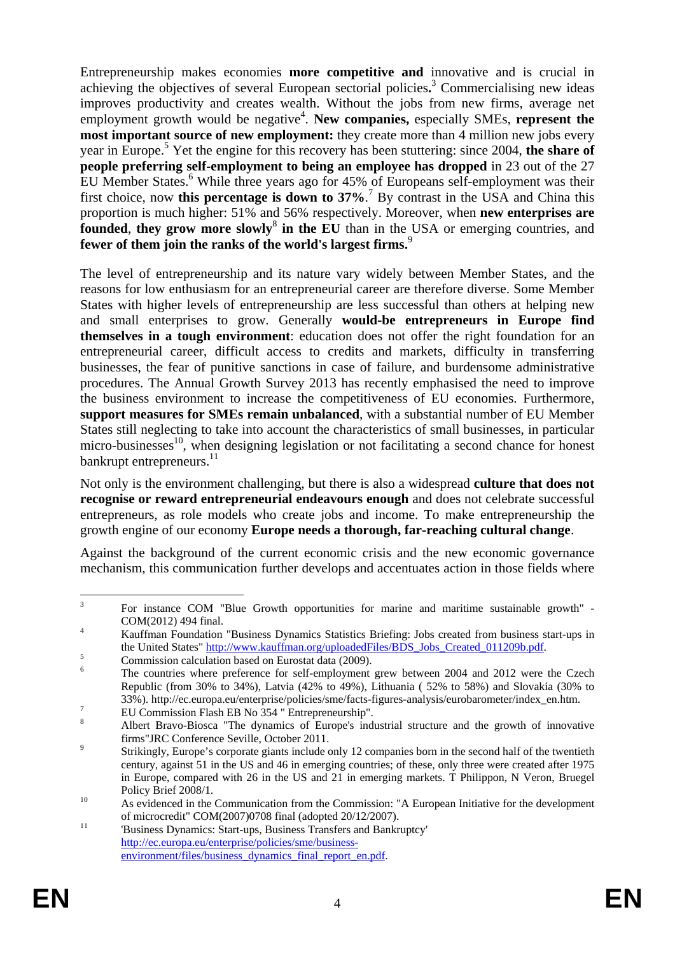Entrepreneurship makes economies **more competitive and** innovative and is crucial in achieving the objectives of several European sectorial policies**.** 3 Commercialising new ideas improves productivity and creates wealth. Without the jobs from new firms, average net employment growth would be negative<sup>4</sup>. New companies, especially SMEs, represent the **most important source of new employment:** they create more than 4 million new jobs every year in Europe.<sup>5</sup> Yet the engine for this recovery has been stuttering: since 2004, the share of **people preferring self-employment to being an employee has dropped** in 23 out of the 27 EU Member States.<sup>6</sup> While three years ago for 45% of Europeans self-employment was their first choice, now **this percentage is down to 37%**.<sup>7</sup> By contrast in the USA and China this proportion is much higher: 51% and 56% respectively. Moreover, when **new enterprises are founded, they grow more slowly<sup>8</sup> in the EU** than in the USA or emerging countries, and **fewer of them join the ranks of the world's largest firms.**<sup>9</sup>

The level of entrepreneurship and its nature vary widely between Member States, and the reasons for low enthusiasm for an entrepreneurial career are therefore diverse. Some Member States with higher levels of entrepreneurship are less successful than others at helping new and small enterprises to grow. Generally **would-be entrepreneurs in Europe find themselves in a tough environment**: education does not offer the right foundation for an entrepreneurial career, difficult access to credits and markets, difficulty in transferring businesses, the fear of punitive sanctions in case of failure, and burdensome administrative procedures. The Annual Growth Survey 2013 has recently emphasised the need to improve the business environment to increase the competitiveness of EU economies. Furthermore, **support measures for SMEs remain unbalanced**, with a substantial number of EU Member States still neglecting to take into account the characteristics of small businesses, in particular micro-businesses $^{10}$ , when designing legislation or not facilitating a second chance for honest bankrupt entrepreneurs.<sup>11</sup>

Not only is the environment challenging, but there is also a widespread **culture that does not recognise or reward entrepreneurial endeavours enough** and does not celebrate successful entrepreneurs, as role models who create jobs and income. To make entrepreneurship the growth engine of our economy **Europe needs a thorough, far-reaching cultural change**.

Against the background of the current economic crisis and the new economic governance mechanism, this communication further develops and accentuates action in those fields where

 $\frac{1}{3}$  For instance COM "Blue Growth opportunities for marine and maritime sustainable growth" -  $COM(2012)$  494 final.

Kauffman Foundation "Business Dynamics Statistics Briefing: Jobs created from business start-ups in the United States[" http://www.kauffman](http://www.kauffman.org/uploadedFiles/BDS_Jobs_Created_011209b.pdf).org/uploadedFiles/BDS\_Jobs\_Created\_011209b.pdf.

Commission calculation based on Eurostat data (2009).

<sup>6</sup> The countries where preference for self-employment grew between 2004 and 2012 were the Czech Republic (from 30% to 34%), Latvia (42% to 49%), Lithuania ( 52% to 58%) and Slovakia (30% to 33%). http://ec.europa.eu/enterprise/policies/sme/facts-figures-analysis/eurobarometer/index\_en.htm. 7

EU Commission Flash EB No 354 " Entrepreneurship".

<sup>8</sup> Albert Bravo-Biosca "The dynamics of Europe's industrial structure and the growth of innovative firms"JRC Conference Seville, October 2011.

Strikingly, Europe's corporate giants include only 12 companies born in the second half of the twentieth century, against 51 in the US and 46 in emerging countries; of these, only three were created after 1975 in Europe, compared with 26 in the US and 21 in emerging markets. T Philippon, N Veron, Bruegel Policy Brief 2008/1.<br>As evidenced in the Communication from the Commission: "A European Initiative for the development

of microcredit" COM(2007)0708 final (adopted 20/12/2007).<br><sup>11</sup> Business Dynamics: Start-ups, Business Transfers and Bankruptcy' [http://ec.europa.eu/enterprise/policies/sme/business](http://ec.europa.eu/enterprise/policies/sme/business-environment/files/business_dynamics_final_report_en.pdf)environment/files/business\_dynamics\_final\_report\_en.pdf.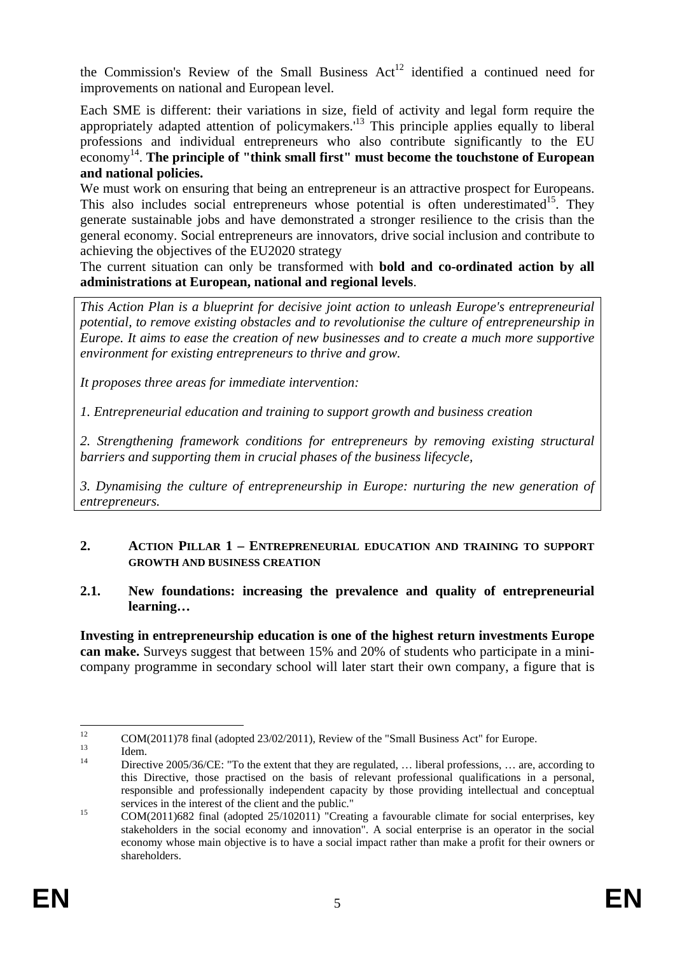the Commission's Review of the Small Business  $Act^{12}$  identified a continued need for improvements on national and European level.

Each SME is different: their variations in size, field of activity and legal form require the Each SINE IS unreferred attention of policymakers.<sup>13</sup> This principle applies equally to liberal appropriately adapted attention of policymakers.<sup>13</sup> professions and individual entrepreneurs who also contribute significantly to the EU economy 14. **The principle of "think small first" must become the touchstone of European and national policies.**

We must work on ensuring that being an entrepreneur is an attractive prospect for Europeans. This also includes social entrepreneurs whose potential is often underestimated<sup>15</sup>. They generate sustainable jobs and have demonstrated a stronger resilience to the crisis than the general economy. Social entrepreneurs are innovators, drive social inclusion and contribute to achieving the objectives of the EU2020 strategy

The current situation can only be transformed with **bold and co-ordinated action by all administrations at European, national and regional levels**.

*This Action Plan is a blueprint for decisive joint action to unleash Europe's entrepreneurial potential, to remove existing obstacles and to revolutionise the culture of entrepreneurship in Europe. It aims to ease the creation of new businesses and to create a much more supportive environment for existing entrepreneurs to thrive and grow.* 

*It proposes three areas for immediate intervention:* 

*1. Entrepreneurial education and training to support growth and business creation* 

*2. Strengthening framework conditions for entrepreneurs by removing existing structural barriers and supporting them in crucial phases of the business lifecycle,* 

*3. Dynamising the culture of entrepreneurship in Europe: nurturing the new generation of entrepreneurs.* 

#### <span id="page-4-0"></span>**2. ACTION PILLAR 1 – ENTREPRENEURIAL EDUCATION AND TRAINING TO SUPPORT GROWTH AND BUSINESS CREATION**

#### <span id="page-4-1"></span>**2.1. New foundations: increasing the prevalence and quality of entrepreneurial learning…**

**Investing in entrepreneurship education is one of the highest return investments Europe can make.** Surveys suggest that between 15% and 20% of students who participate in a minicompany programme in secondary school will later start their own company, a figure that is

 $12$ <sup>12</sup> COM(2011)78 final (adopted 23/02/2011), Review of the "Small Business Act" for Europe.

 $\frac{13}{14}$  Idem. Directive 2005/36/CE: "To the extent that they are regulated, ... liberal professions, ... are, according to this Directive, those practised on the basis of relevant professional qualifications in a personal, responsible and professionally independent capacity by those providing intellectual and conceptual services in the interest of the client and the public."<br>  $COM(2011)682$  final (adopted  $25/102011$ ) "Creating a favourable climate for social enterprises, key

stakeholders in the social economy and innovation". A social enterprise is an operator in the social economy whose main objective is to have a social impact rather than make a profit for their owners or shareholders.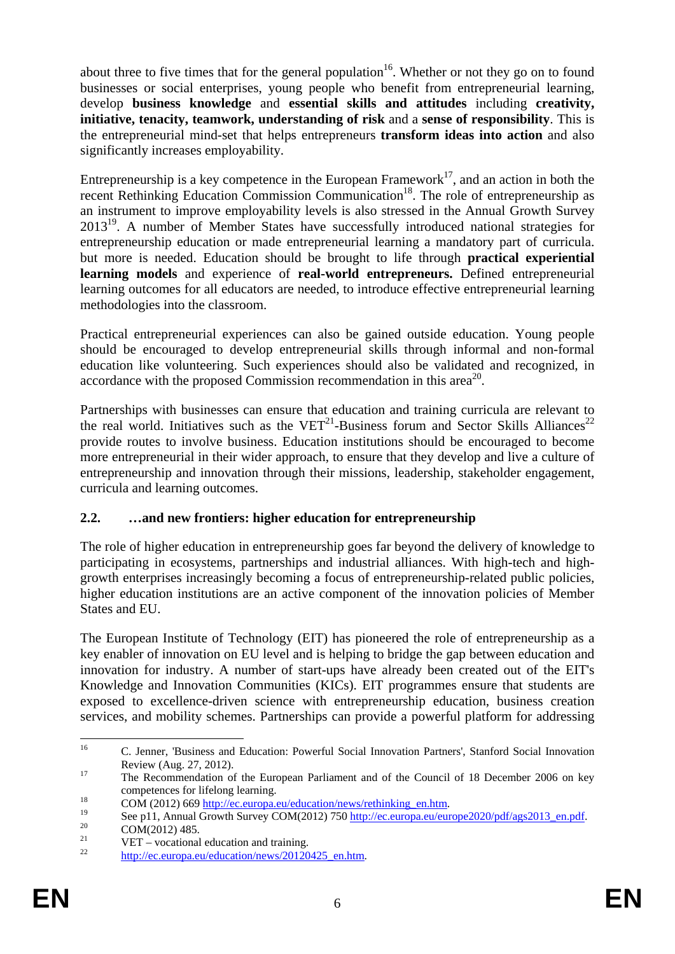about three to five times that for the general population<sup>16</sup>. Whether or not they go on to found businesses or social enterprises, young people who benefit from entrepreneurial learning, develop **business knowledge** and **essential skills and attitudes** including **creativity, initiative, tenacity, teamwork, understanding of risk** and a **sense of responsibility**. This is the entrepreneurial mind-set that helps entrepreneurs **transform ideas into action** and also significantly increases employability.

Entrepreneurship is a key competence in the European Framework<sup>17</sup>, and an action in both the recent Rethinking Education Commission Communication<sup>18</sup>. The role of entrepreneurship as an instrument to improve employability levels is also stressed in the Annual Growth Survey  $2013^{19}$ . A number of Member States have successfully introduced national strategies for entrepreneurship education or made entrepreneurial learning a mandatory part of curricula. but more is needed. Education should be brought to life through **practical experiential learning models** and experience of **real-world entrepreneurs.** Defined entrepreneurial learning outcomes for all educators are needed, to introduce effective entrepreneurial learning methodologies into the classroom.

Practical entrepreneurial experiences can also be gained outside education. Young people should be encouraged to develop entrepreneurial skills through informal and non-formal education like volunteering. Such experiences should also be validated and recognized, in accordance with the proposed Commission recommendation in this area<sup>20</sup>.

Partnerships with businesses can ensure that education and training curricula are relevant to the real world. Initiatives such as the  $VET^{21}$ -Business forum and Sector Skills Alliances<sup>22</sup> provide routes to involve business. Education institutions should be encouraged to become more entrepreneurial in their wider approach, to ensure that they develop and live a culture of entrepreneurship and innovation through their missions, leadership, stakeholder engagement, curricula and learning outcomes.

# <span id="page-5-0"></span>**2.2. …and new frontiers: higher education for entrepreneurship**

The role of higher education in entrepreneurship goes far beyond the delivery of knowledge to participating in ecosystems, partnerships and industrial alliances. With high-tech and highgrowth enterprises increasingly becoming a focus of entrepreneurship-related public policies, higher education institutions are an active component of the innovation policies of Member States and EU.

The European Institute of Technology (EIT) has pioneered the role of entrepreneurship as a key enabler of innovation on EU level and is helping to bridge the gap between education and innovation for industry. A number of start-ups have already been created out of the EIT's Knowledge and Innovation Communities (KICs). EIT programmes ensure that students are exposed to excellence-driven science with entrepreneurship education, business creation services, and mobility schemes. Partnerships can provide a powerful platform for addressing

<sup>16</sup> C. Jenner, 'Business and Education: Powerful Social Innovation Partners', Stanford Social Innovation Review (Aug. 27, 2012).

<sup>&</sup>lt;sup>17</sup> The Recommendation of the European Parliament and of the Council of 18 December 2006 on key

competences for lifelong learning.<br>
<sup>18</sup> COM (2012) 669 <u>http://ec.europa.eu/education/news/rethinking\_en.htm</u>.<br>
See p11, Annual Growth Survey COM(2012) 750 <u>http://ec.europa.eu/europe2020/pdf/ags2013\_en.pdf</u>.<br>
<sup>20</sup> COM(20

<sup>&</sup>lt;sup>21</sup> VET – vocational education and training.<br><sup>22</sup>  $\frac{1}{2}$ 

http://ec.europa.eu/education/news/20120425\_en.htm.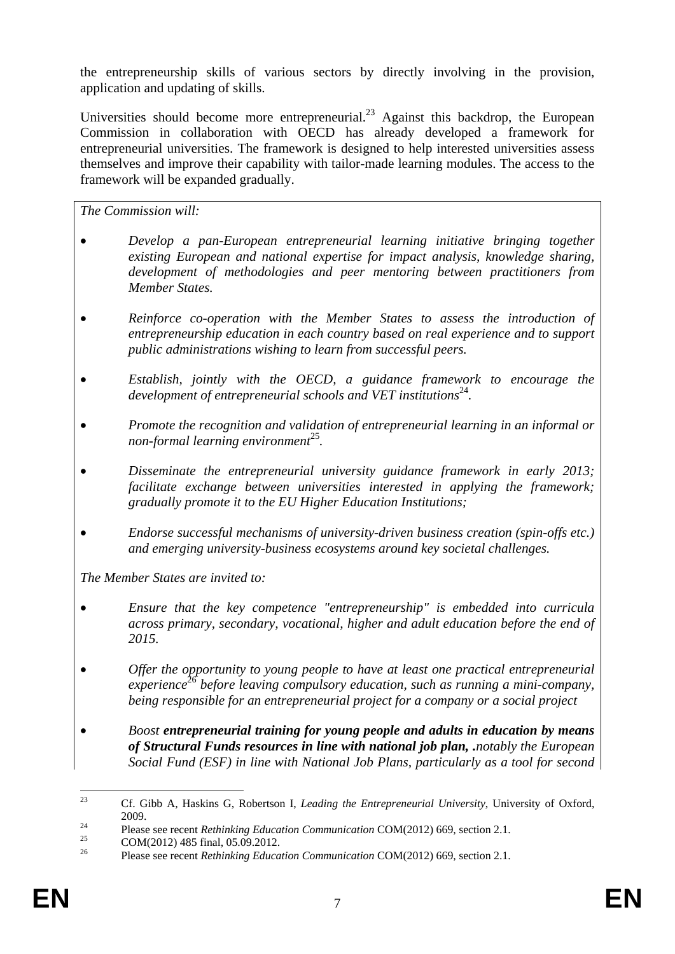the entrepreneurship skills of various sectors by directly involving in the provision, application and updating of skills.

Universities should become more entrepreneurial.<sup>23</sup> Against this backdrop, the European Commission in collaboration with OECD has already developed a framework for entrepreneurial universities. The framework is designed to help interested universities assess themselves and improve their capability with tailor-made learning modules. The access to the framework will be expanded gradually.

*The Commission will:* 

- *Develop a pan-European entrepreneurial learning initiative bringing together existing European and national expertise for impact analysis, knowledge sharing, development of methodologies and peer mentoring between practitioners from Member States.*
- *Reinforce co-operation with the Member States to assess the introduction of entrepreneurship education in each country based on real experience and to support public administrations wishing to learn from successful peers.*
- *Establish, jointly with the OECD, a guidance framework to encourage the development of entrepreneurial schools and VET institutions*<sup>24</sup>.
- *Promote the recognition and validation of entrepreneurial learning in an informal or non-formal learning environment*<sup>25</sup>*.*
- *Disseminate the entrepreneurial university guidance framework in early 2013; facilitate exchange between universities interested in applying the framework; gradually promote it to the EU Higher Education Institutions;*
- *Endorse successful mechanisms of university-driven business creation (spin-offs etc.) and emerging university-business ecosystems around key societal challenges.*

*The Member States are invited to:* 

- *Ensure that the key competence "entrepreneurship" is embedded into curricula across primary, secondary, vocational, higher and adult education before the end of 2015.*
- *Offer the opportunity to young people to have at least one practical entrepreneurial experience*<sup>26</sup> *before leaving compulsory education, such as running a mini-company, being responsible for an entrepreneurial project for a company or a social project*
- *Boost entrepreneurial training for young people and adults in education by means of Structural Funds resources in line with national job plan, .notably the European Social Fund (ESF) in line with National Job Plans, particularly as a tool for second*

 $23$ 23 Cf. Gibb A, Haskins G, Robertson I, *Leading the Entrepreneurial University*, University of Oxford,

<sup>2009.&</sup>lt;br>
Please see recent *Rethinking Education Communication* COM(2012) 669, section 2.1.<br>
COM(2012) 485 final, 05.09.2012.

<sup>26</sup> Please see recent *Rethinking Education Communication* COM(2012) 669, section 2.1.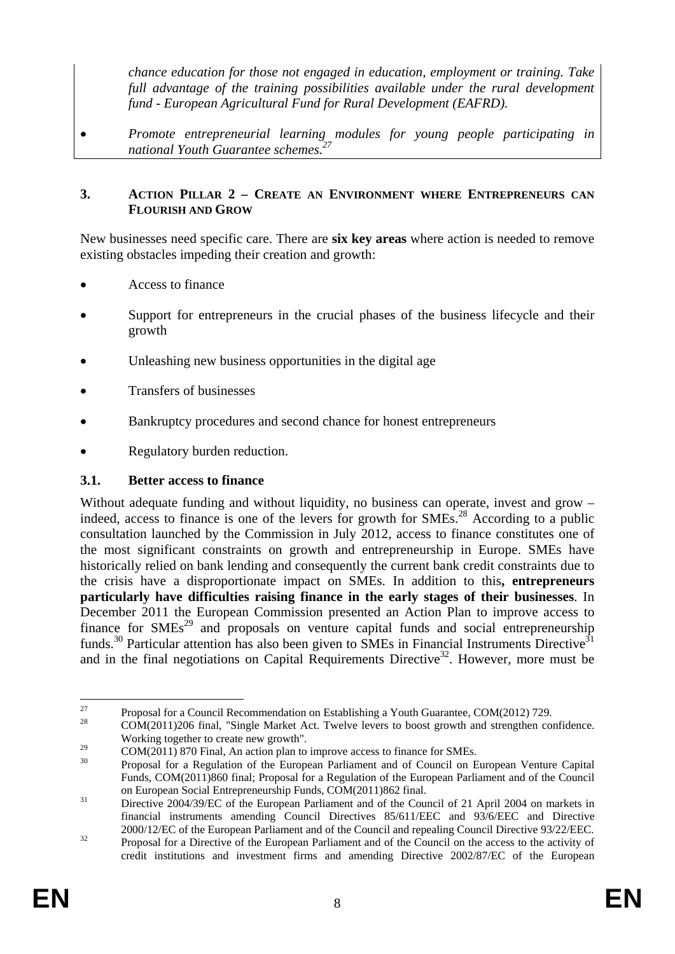*chance education for those not engaged in education, employment or training. Take*  full advantage of the training possibilities available under the rural development *fund - European Agricultural Fund for Rural Development (EAFRD).* 

• *Promote entrepreneurial learning modules for young people participating in national Youth Guarantee schemes.*<sup>2</sup>

#### <span id="page-7-0"></span>**3. ACTION PILLAR 2 – CREATE AN ENVIRONMENT WHERE ENTREPRENEURS CAN FLOURISH AND GROW**

New businesses need specific care. There are **six key areas** where action is needed to remove existing obstacles impeding their creation and growth:

- Access to finance
- Support for entrepreneurs in the crucial phases of the business lifecycle and their growth
- Unleashing new business opportunities in the digital age
- Transfers of businesses
- Bankruptcy procedures and second chance for honest entrepreneurs
- Regulatory burden reduction.

### <span id="page-7-1"></span>**3.1. Better access to finance**

Without adequate funding and without liquidity, no business can operate, invest and grow – indeed, access to finance is one of the levers for growth for SMEs.<sup>28</sup> According to a public consultation launched by the Commission in July 2012, access to finance constitutes one of the most significant constraints on growth and entrepreneurship in Europe. SMEs have historically relied on bank lending and consequently the current bank credit constraints due to the crisis have a disproportionate impact on SMEs. In addition to this**, entrepreneurs particularly have difficulties raising finance in the early stages of their businesses**. In December 2011 the European Commission presented an Action Plan to improve access to finance for  $SMEs<sup>29</sup>$  and proposals on venture capital funds and social entrepreneurship funds.<sup>30</sup> Particular attention has also been given to SMEs in Financial Instruments Directive<sup>31</sup> and in the final negotiations on Capital Requirements Directive<sup>32</sup>. However, more must be

<sup>27</sup> <sup>27</sup> Proposal for a Council Recommendation on Establishing a Youth Guarantee, COM(2012) 729.

<sup>28</sup> COM(2011)206 final, "Single Market Act. Twelve levers to boost growth and strengthen confidence. Working together to create new growth".

 $29 \text{COM}(2011)$  870 Final, An action plan to improve access to finance for SMEs.<br><sup>30</sup> Proposal for a Regulation of the European Parliament and of Council on European Venture Capital Funds, COM(2011)860 final; Proposal for a Regulation of the European Parliament and of the Council on European Social Entrepreneurship Funds, COM(2011)862 final.<br><sup>31</sup> Directive 2004/39/EC of the European Parliament and of the Council of 21 April 2004 on markets in

financial instruments amending Council Directives 85/611/EEC and 93/6/EEC and Directive <sup>32</sup> 2000/12/EC of the European Parliament and of the Council and repealing Council Directive 93/22/EEC.<br><sup>32</sup> Proposal for a Directive of the European Parliament and of the Council on the access to the activity of

credit institutions and investment firms and amending Directive 2002/87/EC of the European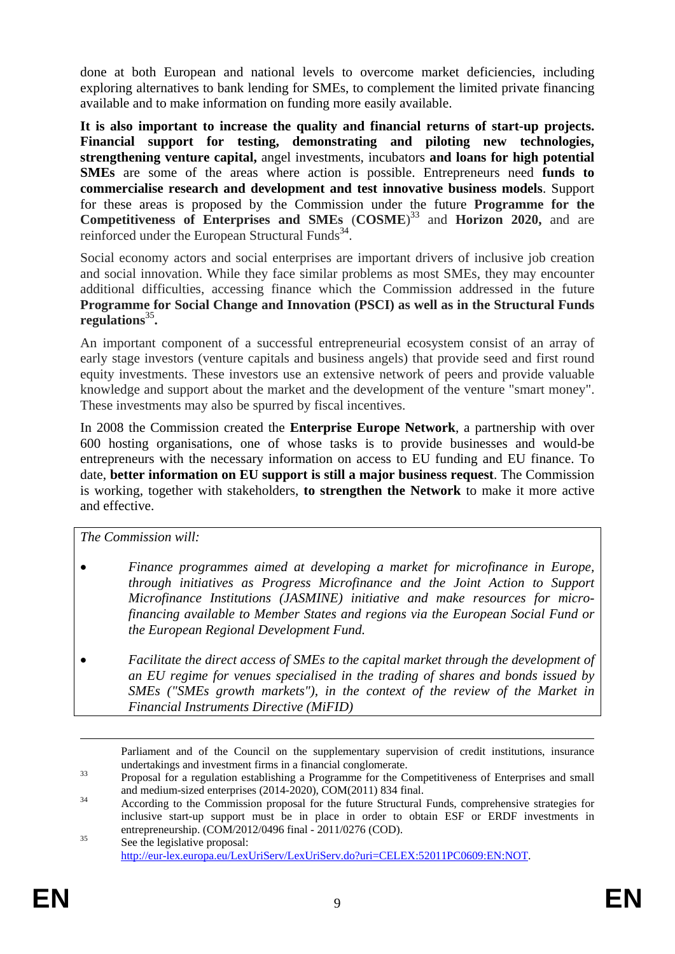done at both European and national levels to overcome market deficiencies, including exploring alternatives to bank lending for SMEs, to complement the limited private financing available and to make information on funding more easily available.

**It is also important to increase the quality and financial returns of start-up projects. Financial support for testing, demonstrating and piloting new technologies, strengthening venture capital,** angel investments, incubators **and loans for high potential SMEs** are some of the areas where action is possible. Entrepreneurs need **funds to commercialise research and development and test innovative business models**. Support for these areas is proposed by the Commission under the future **Programme for the Competitiveness of Enterprises and SMEs** (**COSME**) 33 and **Horizon 2020,** and are reinforced under the European Structural Funds<sup>34</sup>.

Social economy actors and social enterprises are important drivers of inclusive job creation and social innovation. While they face similar problems as most SMEs, they may encounter additional difficulties, accessing finance which the Commission addressed in the future **Programme for Social Change and Innovation (PSCI) as well as in the Structural Funds regulations**<sup>35</sup>**.** 

An important component of a successful entrepreneurial ecosystem consist of an array of early stage investors (venture capitals and business angels) that provide seed and first round equity investments. These investors use an extensive network of peers and provide valuable knowledge and support about the market and the development of the venture "smart money". These investments may also be spurred by fiscal incentives.

In 2008 the Commission created the **Enterprise Europe Network**, a partnership with over 600 hosting organisations, one of whose tasks is to provide businesses and would-be entrepreneurs with the necessary information on access to EU funding and EU finance. To date, **better information on EU support is still a major business request**. The Commission is working, together with stakeholders, **to strengthen the Network** to make it more active and effective.

*The Commission will:* 

- *Finance programmes aimed at developing a market for microfinance in Europe, through initiatives as Progress Microfinance and the Joint Action to Support Microfinance Institutions (JASMINE) initiative and make resources for microfinancing available to Member States and regions via the European Social Fund or the European Regional Development Fund.*
- *Facilitate the direct access of SMEs to the capital market through the development of an EU regime for venues specialised in the trading of shares and bonds issued by SMEs ("SMEs growth markets"), in the context of the review of the Market in Financial Instruments Directive (MiFID)*

 Parliament and of the Council on the supplementary supervision of credit institutions, insurance undertakings and investment firms in a financial conglomerate.<br><sup>33</sup> Proposal for a regulation establishing a Programme for the Competitiveness of Enterprises and small

and medium-sized enterprises (2014-2020), COM(2011) 834 final.<br>According to the Commission proposal for the future Structural Funds, comprehensive strategies for

inclusive start-up support must be in place in order to obtain ESF or ERDF investments in entrepreneurship. (COM/2012/0496 final - 2011/0276 (COD).<br>See the legislative proposal:

[http://eur-lex.europa.eu/LexUriServ/LexUriServ.do?uri=CELEX:52011PC0609:EN:NOT.](http://eur-lex.europa.eu/LexUriServ/LexUriServ.do?uri=CELEX:52011PC0609:EN:NOT)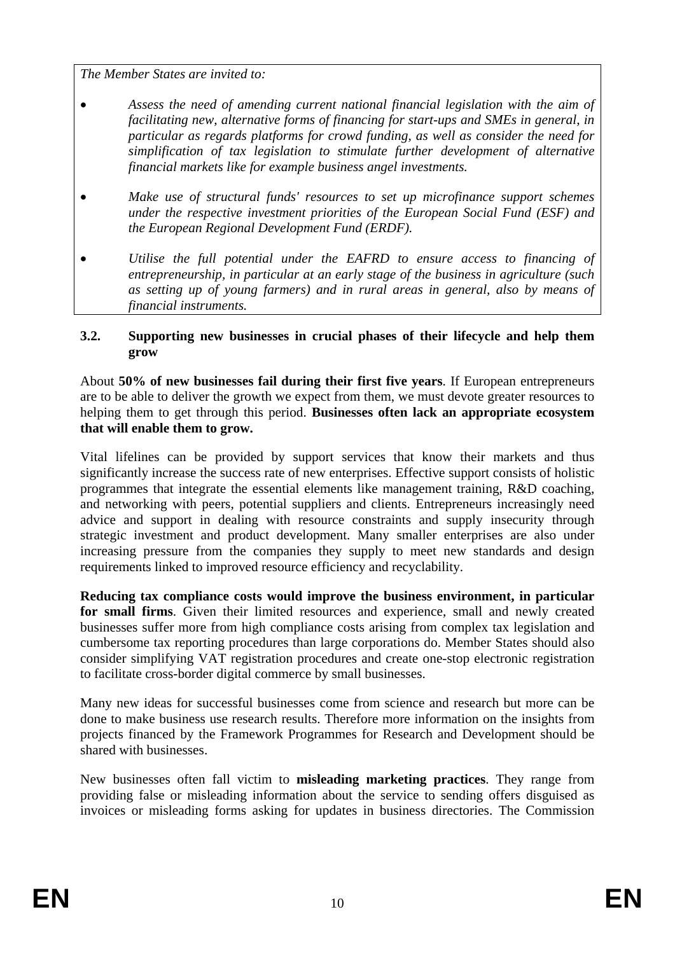*The Member States are invited to:* 

- *Assess the need of amending current national financial legislation with the aim of facilitating new, alternative forms of financing for start-ups and SMEs in general, in particular as regards platforms for crowd funding, as well as consider the need for simplification of tax legislation to stimulate further development of alternative financial markets like for example business angel investments.*
- *Make use of structural funds' resources to set up microfinance support schemes under the respective investment priorities of the European Social Fund (ESF) and the European Regional Development Fund (ERDF).*
- *Utilise the full potential under the EAFRD to ensure access to financing of entrepreneurship, in particular at an early stage of the business in agriculture (such as setting up of young farmers) and in rural areas in general, also by means of financial instruments.*

### <span id="page-9-0"></span>**3.2. Supporting new businesses in crucial phases of their lifecycle and help them grow**

About **50% of new businesses fail during their first five years**. If European entrepreneurs are to be able to deliver the growth we expect from them, we must devote greater resources to helping them to get through this period. **Businesses often lack an appropriate ecosystem that will enable them to grow.**

Vital lifelines can be provided by support services that know their markets and thus significantly increase the success rate of new enterprises. Effective support consists of holistic programmes that integrate the essential elements like management training, R&D coaching, and networking with peers, potential suppliers and clients. Entrepreneurs increasingly need advice and support in dealing with resource constraints and supply insecurity through strategic investment and product development. Many smaller enterprises are also under increasing pressure from the companies they supply to meet new standards and design requirements linked to improved resource efficiency and recyclability.

**Reducing tax compliance costs would improve the business environment, in particular for small firms**. Given their limited resources and experience, small and newly created businesses suffer more from high compliance costs arising from complex tax legislation and cumbersome tax reporting procedures than large corporations do. Member States should also consider simplifying VAT registration procedures and create one-stop electronic registration to facilitate cross-border digital commerce by small businesses.

Many new ideas for successful businesses come from science and research but more can be done to make business use research results. Therefore more information on the insights from projects financed by the Framework Programmes for Research and Development should be shared with businesses.

New businesses often fall victim to **misleading marketing practices**. They range from providing false or misleading information about the service to sending offers disguised as invoices or misleading forms asking for updates in business directories. The Commission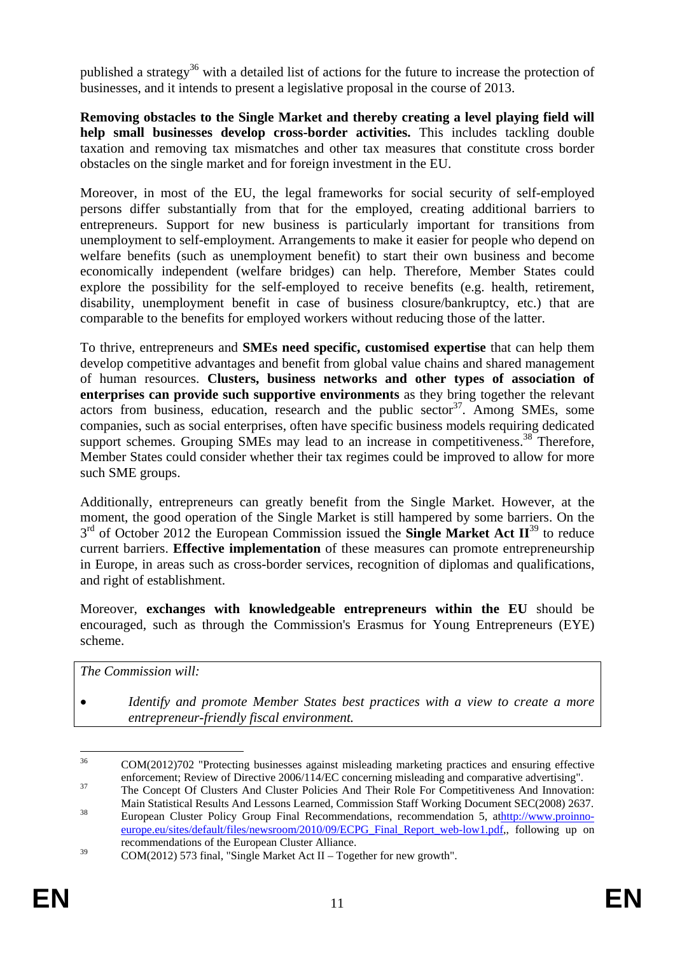published a strategy<sup>36</sup> with a detailed list of actions for the future to increase the protection of businesses, and it intends to present a legislative proposal in the course of 2013.

**Removing obstacles to the Single Market and thereby creating a level playing field will help small businesses develop cross-border activities.** This includes tackling double taxation and removing tax mismatches and other tax measures that constitute cross border obstacles on the single market and for foreign investment in the EU.

Moreover, in most of the EU, the legal frameworks for social security of self-employed persons differ substantially from that for the employed, creating additional barriers to entrepreneurs. Support for new business is particularly important for transitions from unemployment to self-employment. Arrangements to make it easier for people who depend on welfare benefits (such as unemployment benefit) to start their own business and become economically independent (welfare bridges) can help. Therefore, Member States could explore the possibility for the self-employed to receive benefits (e.g. health, retirement, disability, unemployment benefit in case of business closure/bankruptcy, etc.) that are comparable to the benefits for employed workers without reducing those of the latter.

To thrive, entrepreneurs and **SMEs need specific, customised expertise** that can help them develop competitive advantages and benefit from global value chains and shared management of human resources. **Clusters, business networks and other types of association of enterprises can provide such supportive environments** as they bring together the relevant actors from business, education, research and the public sector  $37$ . Among SMEs, some companies, such as social enterprises, often have specific business models requiring dedicated support schemes. Grouping SMEs may lead to an increase in competitiveness.<sup>38</sup> Therefore, Member States could consider whether their tax regimes could be improved to allow for more such SME groups.

Additionally, entrepreneurs can greatly benefit from the Single Market. However, at the moment, the good operation of the Single Market is still hampered by some barriers. On the 3<sup>rd</sup> of October 2012 the European Commission issued the **Single Market Act II**<sup>39</sup> to reduce current barriers. **Effective implementation** of these measures can promote entrepreneurship in Europe, in areas such as cross-border services, recognition of diplomas and qualifications, and right of establishment.

Moreover, **exchanges with knowledgeable entrepreneurs within the EU** should be encouraged, such as through the Commission's Erasmus for Young Entrepreneurs (EYE) scheme.

*The Commission will:* 

<sup>•</sup> *Identify and promote Member States best practices with a view to create a more entrepreneur-friendly fiscal environment.* 

 $36$ COM(2012)702 "Protecting businesses against misleading marketing practices and ensuring effective enforcement; Review of Directive 2006/114/EC concerning misleading and comparative advertising".

and computative advertising; Review of Directive 2006/114/EC concerning misleading and competitive advertising.<br>The Concept Of Clusters And Cluster Policies And Their Role For Competitiveness And Innovation:

Main Statistical Results And Lessons Learned, Commission Staff Working Document SEC(2008) 2637.<br><sup>38</sup> European Cluster Policy Group Final Recommendations, recommendation 5, [athttp://www.proinno](http://www.proinno-europe.eu/sites/default/files/newsroom/2010/09/ECPG_Final_Report_web-low1.pdf)[europe.eu/sites/default/files/newsroom/2010/09/ECPG\\_Final\\_Report\\_web-low1.pdf,,](http://www.proinno-europe.eu/sites/default/files/newsroom/2010/09/ECPG_Final_Report_web-low1.pdf) following up on recommendations of the European Cluster Alliance.

<sup>&</sup>lt;sup>39</sup> COM(2012) 573 final, "Single Market Act II – Together for new growth".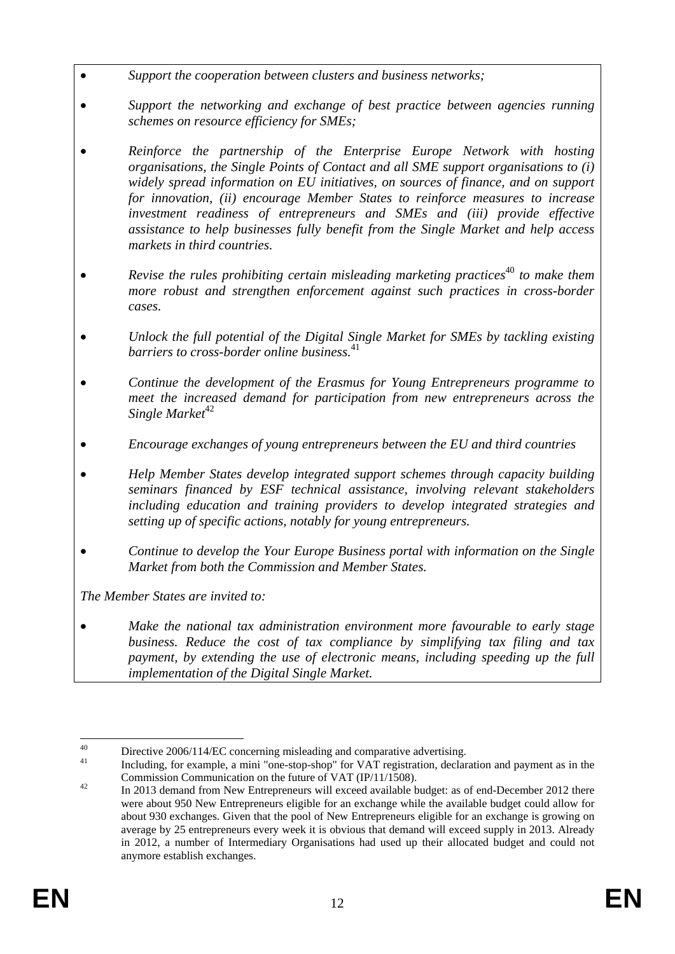- *Support the cooperation between clusters and business networks;*
- *Support the networking and exchange of best practice between agencies running schemes on resource efficiency for SMEs;*
- *Reinforce the partnership of the Enterprise Europe Network with hosting organisations, the Single Points of Contact and all SME support organisations to (i) widely spread information on EU initiatives, on sources of finance, and on support for innovation, (ii) encourage Member States to reinforce measures to increase investment readiness of entrepreneurs and SMEs and (iii) provide effective assistance to help businesses fully benefit from the Single Market and help access markets in third countries.*
- *Revise the rules prohibiting certain misleading marketing practices***<sup>40</sup> to make them** *more robust and strengthen enforcement against such practices in cross-border cases.*
- *Unlock the full potential of the Digital Single Market for SMEs by tackling existing barriers to cross-border online business.*<sup>41</sup>
- *Continue the development of the Erasmus for Young Entrepreneurs programme to meet the increased demand for participation from new entrepreneurs across the Single Market*<sup>42</sup>
- *Encourage exchanges of young entrepreneurs between the EU and third countries*
- *Help Member States develop integrated support schemes through capacity building seminars financed by ESF technical assistance, involving relevant stakeholders including education and training providers to develop integrated strategies and setting up of specific actions, notably for young entrepreneurs.*
- *Continue to develop the Your Europe Business portal with information on the Single Market from both the Commission and Member States.*

*The Member States are invited to:* 

• *Make the national tax administration environment more favourable to early stage business. Reduce the cost of tax compliance by simplifying tax filing and tax payment, by extending the use of electronic means, including speeding up the full implementation of the Digital Single Market.* 

 $40$ 

<sup>&</sup>lt;sup>40</sup> Directive 2006/114/EC concerning misleading and comparative advertising.<br><sup>41</sup> Including, for example, a mini "one-stop-shop" for VAT registration, declaration and payment as in the

Commission Communication on the future of VAT (IP/11/1508).<br><sup>42</sup> In 2013 demand from New Entrepreneurs will exceed available budget: as of end-December 2012 there were about 950 New Entrepreneurs eligible for an exchange while the available budget could allow for about 930 exchanges. Given that the pool of New Entrepreneurs eligible for an exchange is growing on average by 25 entrepreneurs every week it is obvious that demand will exceed supply in 2013. Already in 2012, a number of Intermediary Organisations had used up their allocated budget and could not anymore establish exchanges.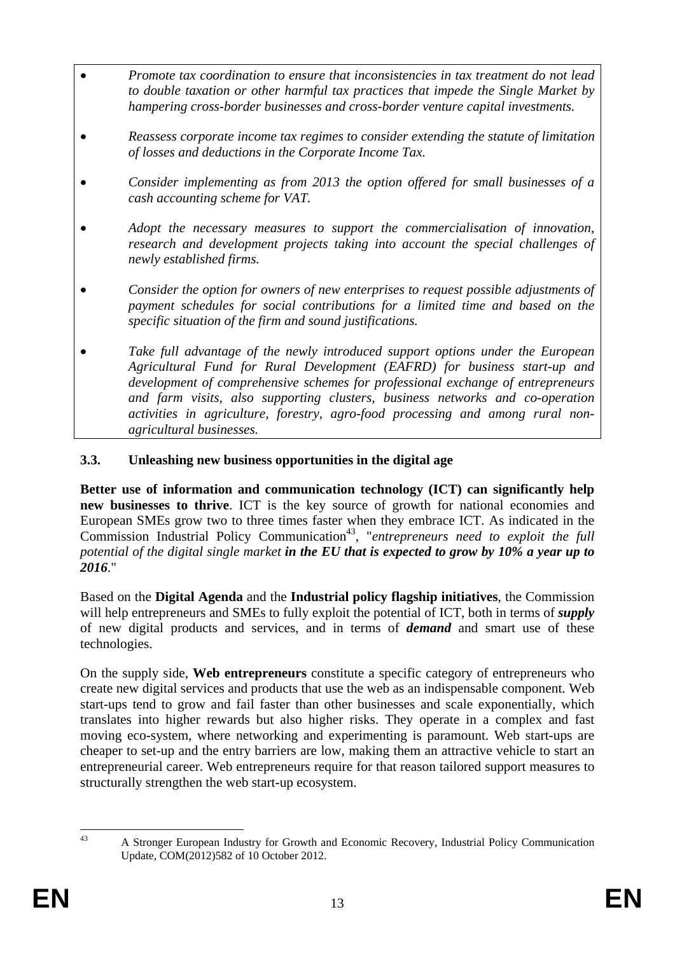- *Promote tax coordination to ensure that inconsistencies in tax treatment do not lead to double taxation or other harmful tax practices that impede the Single Market by hampering cross-border businesses and cross-border venture capital investments.*
- *Reassess corporate income tax regimes to consider extending the statute of limitation of losses and deductions in the Corporate Income Tax.*
- *Consider implementing as from 2013 the option offered for small businesses of a cash accounting scheme for VAT.*
- *Adopt the necessary measures to support the commercialisation of innovation, research and development projects taking into account the special challenges of newly established firms.*
- *Consider the option for owners of new enterprises to request possible adjustments of payment schedules for social contributions for a limited time and based on the specific situation of the firm and sound justifications.*
- *Take full advantage of the newly introduced support options under the European Agricultural Fund for Rural Development (EAFRD) for business start-up and development of comprehensive schemes for professional exchange of entrepreneurs and farm visits, also supporting clusters, business networks and co-operation activities in agriculture, forestry, agro-food processing and among rural nonagricultural businesses.*

### <span id="page-12-0"></span>**3.3. Unleashing new business opportunities in the digital age**

**Better use of information and communication technology (ICT) can significantly help new businesses to thrive**. ICT is the key source of growth for national economies and European SMEs grow two to three times faster when they embrace ICT. As indicated in the Commission Industrial Policy Communication<sup>43</sup>, "*entrepreneurs need to exploit the full potential of the digital single market in the EU that is expected to grow by 10% a year up to 2016*."

Based on the **Digital Agenda** and the **Industrial policy flagship initiatives**, the Commission will help entrepreneurs and SMEs to fully exploit the potential of ICT, both in terms of *supply*  of new digital products and services, and in terms of *demand* and smart use of these technologies.

On the supply side, **Web entrepreneurs** constitute a specific category of entrepreneurs who create new digital services and products that use the web as an indispensable component. Web start-ups tend to grow and fail faster than other businesses and scale exponentially, which translates into higher rewards but also higher risks. They operate in a complex and fast moving eco-system, where networking and experimenting is paramount. Web start-ups are cheaper to set-up and the entry barriers are low, making them an attractive vehicle to start an entrepreneurial career. Web entrepreneurs require for that reason tailored support measures to structurally strengthen the web start-up ecosystem.

 $\overline{13}$ 

<sup>43</sup> A Stronger European Industry for Growth and Economic Recovery, Industrial Policy Communication Update, COM(2012)582 of 10 October 2012.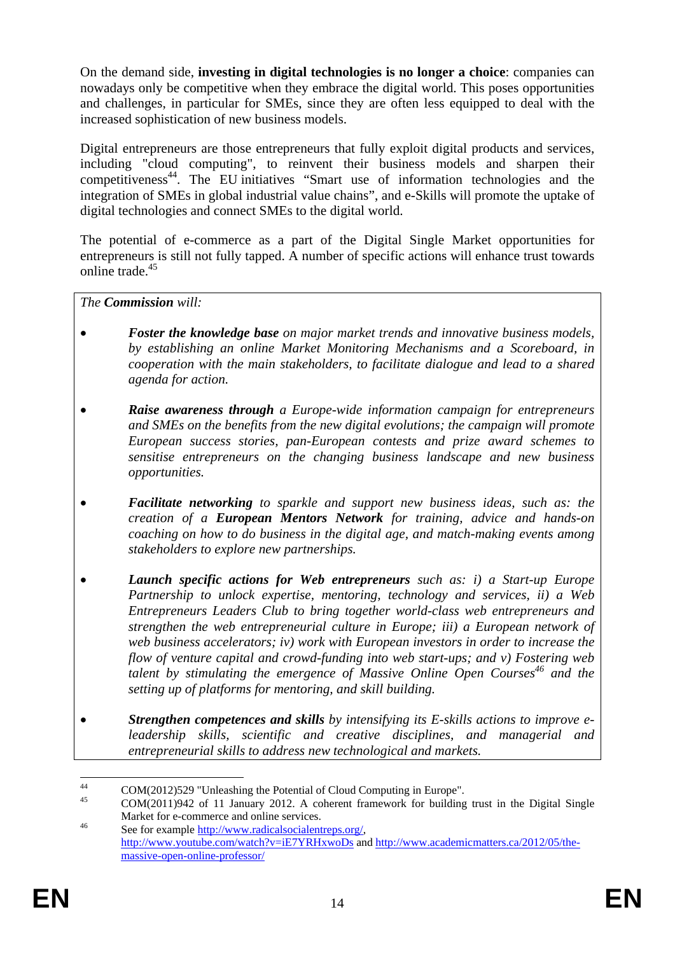On the demand side, **investing in digital technologies is no longer a choice**: companies can nowadays only be competitive when they embrace the digital world. This poses opportunities and challenges, in particular for SMEs, since they are often less equipped to deal with the increased sophistication of new business models.

Digital entrepreneurs are those entrepreneurs that fully exploit digital products and services, including "cloud computing", to reinvent their business models and sharpen their competitiveness<sup>44</sup>. The EU initiatives "Smart use of information technologies and the integration of SMEs in global industrial value chains", and e-Skills will promote the uptake of digital technologies and connect SMEs to the digital world.

The potential of e-commerce as a part of the Digital Single Market opportunities for entrepreneurs is still not fully tapped. A number of specific actions will enhance trust towards online trade.45

*The Commission will:* 

- *Foster the knowledge base on major market trends and innovative business models, by establishing an online Market Monitoring Mechanisms and a Scoreboard, in cooperation with the main stakeholders, to facilitate dialogue and lead to a shared agenda for action.*
- *Raise awareness through a Europe-wide information campaign for entrepreneurs and SMEs on the benefits from the new digital evolutions; the campaign will promote European success stories, pan-European contests and prize award schemes to sensitise entrepreneurs on the changing business landscape and new business opportunities.*
- *Facilitate networking to sparkle and support new business ideas, such as: the creation of a European Mentors Network for training, advice and hands-on coaching on how to do business in the digital age, and match-making events among stakeholders to explore new partnerships.*
- *Launch specific actions for Web entrepreneurs such as: i) a Start-up Europe Partnership to unlock expertise, mentoring, technology and services, ii) a Web Entrepreneurs Leaders Club to bring together world-class web entrepreneurs and strengthen the web entrepreneurial culture in Europe; iii) a European network of web business accelerators; iv) work with European investors in order to increase the flow of venture capital and crowd-funding into web start-ups; and v) Fostering web talent by stimulating the emergence of Massive Online Open Courses*<sup>46</sup> and the *setting up of platforms for mentoring, and skill building.*
- *Strengthen competences and skills by intensifying its E-skills actions to improve eleadership skills, scientific and creative disciplines, and managerial and entrepreneurial skills to address new technological and markets.*

 $44$ 44 COM(2012)529 "Unleashing the Potential of Cloud Computing in Europe".

<sup>45</sup> COM(2011)942 of 11 January 2012. A coherent framework for building trust in the Digital Single Market for e-commerce and online services.<br>
46 See for example http://www.radicalsocialentreps.org/

[http://www.youtube.com/watch?v=iE7YRHxwoDs a](http://www.youtube.com/watch?v=iE7YRHxwoDs)nd [http://www.academicmatters.ca/2012/05/the](http://www.academicmatters.ca/2012/05/the-massive-open-online-professor/)[massive-open-online-professor/](http://www.academicmatters.ca/2012/05/the-massive-open-online-professor/)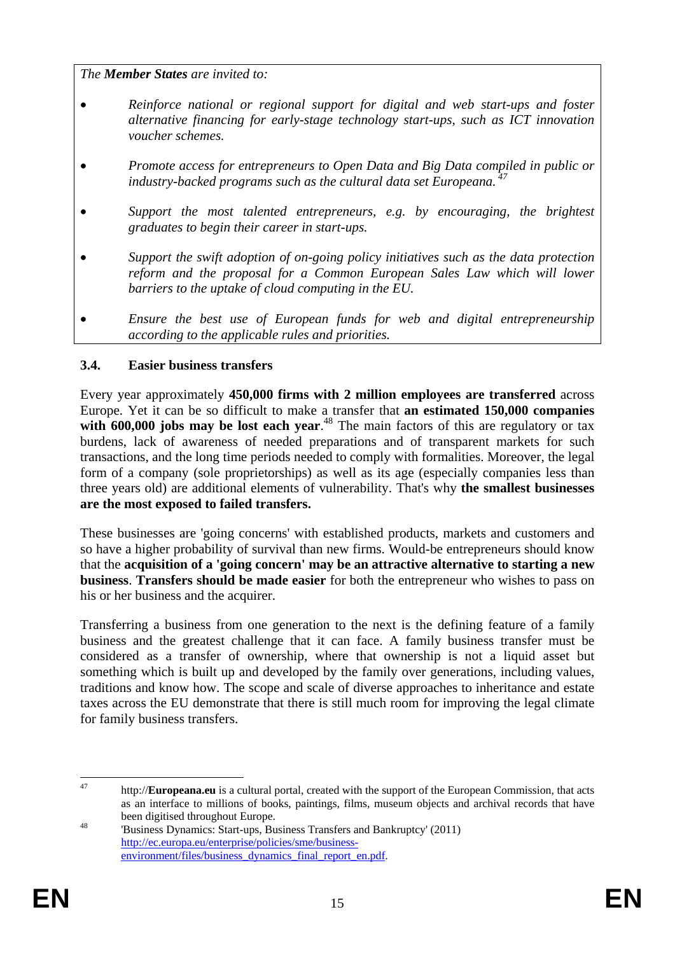*The Member States are invited to:* 

- *Reinforce national or regional support for digital and web start-ups and foster alternative financing for early-stage technology start-ups, such as ICT innovation voucher schemes.*
- *Promote access for entrepreneurs to Open Data and Big Data compiled in public or industry-backed programs such as the cultural data set Europeana. 47*
- *Support the most talented entrepreneurs, e.g. by encouraging, the brightest graduates to begin their career in start-ups.*
- *Support the swift adoption of on-going policy initiatives such as the data protection reform and the proposal for a Common European Sales Law which will lower barriers to the uptake of cloud computing in the EU.*
- *Ensure the best use of European funds for web and digital entrepreneurship according to the applicable rules and priorities.*

### <span id="page-14-0"></span>**3.4. Easier business transfers**

Every year approximately **450,000 firms with 2 million employees are transferred** across Europe. Yet it can be so difficult to make a transfer that **an estimated 150,000 companies**  with 600,000 jobs may be lost each year.<sup>48</sup> The main factors of this are regulatory or tax burdens, lack of awareness of needed preparations and of transparent markets for such transactions, and the long time periods needed to comply with formalities. Moreover, the legal form of a company (sole proprietorships) as well as its age (especially companies less than three years old) are additional elements of vulnerability. That's why **the smallest businesses are the most exposed to failed transfers.** 

These businesses are 'going concerns' with established products, markets and customers and so have a higher probability of survival than new firms. Would-be entrepreneurs should know that the **acquisition of a 'going concern' may be an attractive alternative to starting a new business**. **Transfers should be made easier** for both the entrepreneur who wishes to pass on his or her business and the acquirer.

Transferring a business from one generation to the next is the defining feature of a family business and the greatest challenge that it can face. A family business transfer must be considered as a transfer of ownership, where that ownership is not a liquid asset but something which is built up and developed by the family over generations, including values, traditions and know how. The scope and scale of diverse approaches to inheritance and estate taxes across the EU demonstrate that there is still much room for improving the legal climate for family business transfers.

<sup>47</sup> 47 http://**Europeana.eu** is a cultural portal, created with the support of the European Commission, that acts as an interface to millions of books, paintings, films, museum objects and archival records that have been digitised throughout Europe.<br>
<sup>48</sup> Business Dynamics: Start-ups, Business Transfers and Bankruptcy' (2011)

[http://ec.europa.eu/enterprise/policies/sme/business](http://ec.europa.eu/enterprise/policies/sme/business-environment/files/business_dynamics_final_report_en.pdf)environment/files/business\_dynamics\_final\_report\_en.pdf.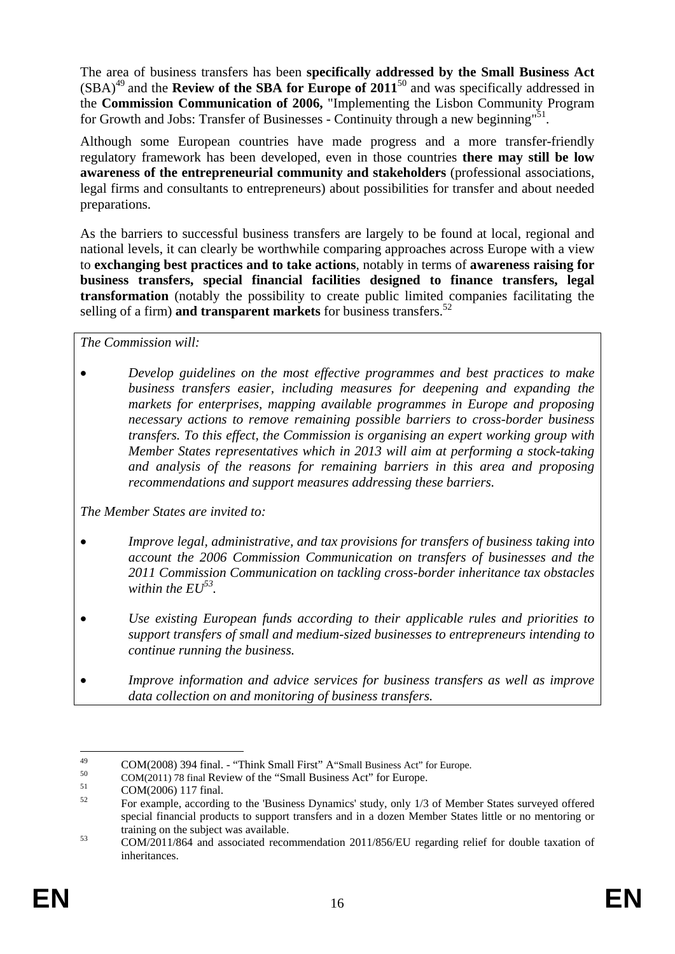The area of business transfers has been **specifically addressed by the Small Business Act**  $(SBA)<sup>49</sup>$  and the **Review of the SBA for Europe of 2011**<sup>50</sup> and was specifically addressed in the **Commission Communication of 2006,** "Implementing the Lisbon Community Program for Growth and Jobs: Transfer of Businesses - Continuity through a new beginning"<sup>51</sup>.

Although some European countries have made progress and a more transfer-friendly regulatory framework has been developed, even in those countries **there may still be low awareness of the entrepreneurial community and stakeholders** (professional associations, legal firms and consultants to entrepreneurs) about possibilities for transfer and about needed preparations.

As the barriers to successful business transfers are largely to be found at local, regional and national levels, it can clearly be worthwhile comparing approaches across Europe with a view to **exchanging best practices and to take actions**, notably in terms of **awareness raising for business transfers, special financial facilities designed to finance transfers, legal transformation** (notably the possibility to create public limited companies facilitating the selling of a firm) **and transparent markets** for business transfers.<sup>52</sup>

*The Commission will:* 

• *Develop guidelines on the most effective programmes and best practices to make business transfers easier, including measures for deepening and expanding the markets for enterprises, mapping available programmes in Europe and proposing necessary actions to remove remaining possible barriers to cross-border business transfers. To this effect, the Commission is organising an expert working group with Member States representatives which in 2013 will aim at performing a stock-taking and analysis of the reasons for remaining barriers in this area and proposing recommendations and support measures addressing these barriers.* 

*The Member States are invited to:* 

- *Improve legal, administrative, and tax provisions for transfers of business taking into account the 2006 Commission Communication on transfers of businesses and the 2011 Commission Communication on tackling cross-border inheritance tax obstacles within the EU53.*
- *Use existing European funds according to their applicable rules and priorities to support transfers of small and medium-sized businesses to entrepreneurs intending to continue running the business.*
- *Improve information and advice services for business transfers as well as improve data collection on and monitoring of business transfers.*

<sup>49</sup> 49 COM(2008) 394 final. - "Think Small First" A"Small Business Act" for Europe.<br>  $COM(2011)$  78 final Review of the "Small Business Act" for Europe.<br>  $COM(2006)$  117 final.

<sup>52</sup> For example, according to the 'Business Dynamics' study, only 1/3 of Member States surveyed offered special financial products to support transfers and in a dozen Member States little or no mentoring or training on the subject was available.<br>COM/2011/864 and associated recommendation 2011/856/EU regarding relief for double taxation of

inheritances.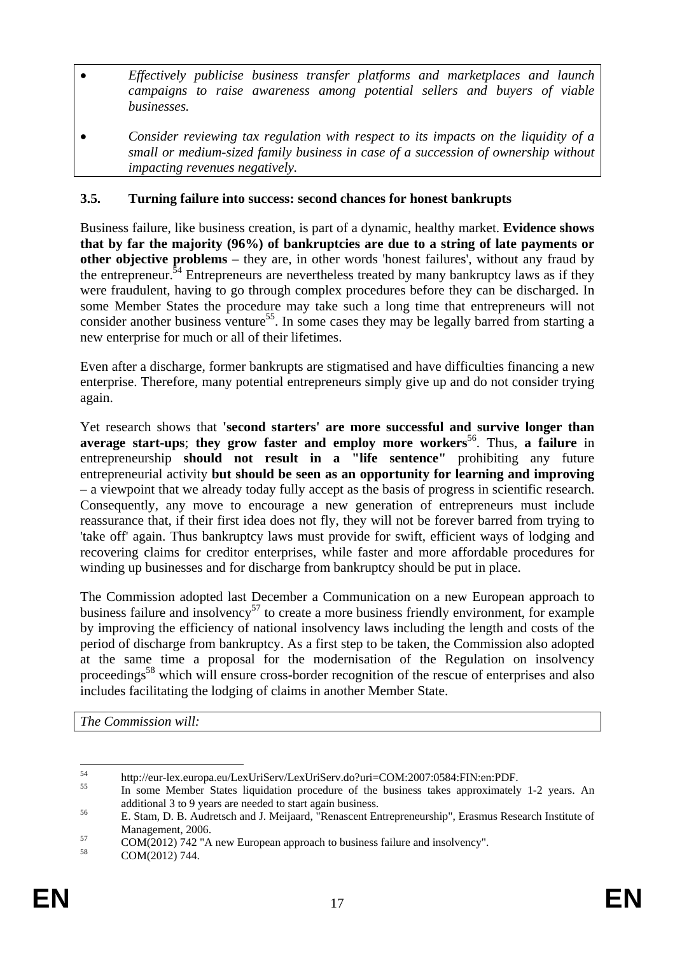- *Effectively publicise business transfer platforms and marketplaces and launch campaigns to raise awareness among potential sellers and buyers of viable businesses.*
- *Consider reviewing tax regulation with respect to its impacts on the liquidity of a small or medium-sized family business in case of a succession of ownership without impacting revenues negatively.*

### <span id="page-16-0"></span>**3.5. Turning failure into success: second chances for honest bankrupts**

Business failure, like business creation, is part of a dynamic, healthy market. **Evidence shows that by far the majority (96%) of bankruptcies are due to a string of late payments or other objective problems** – they are, in other words 'honest failures', without any fraud by the entrepreneur.<sup>54</sup> Entrepreneurs are nevertheless treated by many bankruptcy laws as if they were fraudulent, having to go through complex procedures before they can be discharged. In some Member States the procedure may take such a long time that entrepreneurs will not consider another business venture<sup>55</sup>. In some cases they may be legally barred from starting a new enterprise for much or all of their lifetimes.

Even after a discharge, former bankrupts are stigmatised and have difficulties financing a new enterprise. Therefore, many potential entrepreneurs simply give up and do not consider trying again.

Yet research shows that **'second starters' are more successful and survive longer than average start-ups**; **they grow faster and employ more workers**56. Thus, **a failure** in entrepreneurship **should not result in a "life sentence"** prohibiting any future entrepreneurial activity **but should be seen as an opportunity for learning and improving** – a viewpoint that we already today fully accept as the basis of progress in scientific research. Consequently, any move to encourage a new generation of entrepreneurs must include reassurance that, if their first idea does not fly, they will not be forever barred from trying to 'take off' again. Thus bankruptcy laws must provide for swift, efficient ways of lodging and recovering claims for creditor enterprises, while faster and more affordable procedures for winding up businesses and for discharge from bankruptcy should be put in place.

The Commission adopted last December a Communication on a new European approach to business failure and insolvency<sup>57</sup> to create a more business friendly environment, for example by improving the efficiency of national insolvency laws including the length and costs of the period of discharge from bankruptcy. As a first step to be taken, the Commission also adopted at the same time a proposal for the modernisation of the Regulation on insolvency proceedings<sup>58</sup> which will ensure cross-border recognition of the rescue of enterprises and also includes facilitating the lodging of claims in another Member State.

*The Commission will:* 

<sup>54</sup> 

<sup>&</sup>lt;sup>54</sup> http://eur-lex.europa.eu/LexUriServ/LexUriServ.do?uri=COM:2007:0584:FIN:en:PDF.<br><sup>55</sup> In some Member States liquidation procedure of the business takes approximately 1-2 years. An

additional 3 to 9 years are needed to start again business.<br>
56 E. Stam, D. B. Audretsch and J. Meijaard, "Renascent Entrepreneurship", Erasmus Research Institute of

Management, 2006.<br>
COM(2012) 742 "A new European approach to business failure and insolvency".<br>
S8 COM(2012) 744

COM(2012) 744.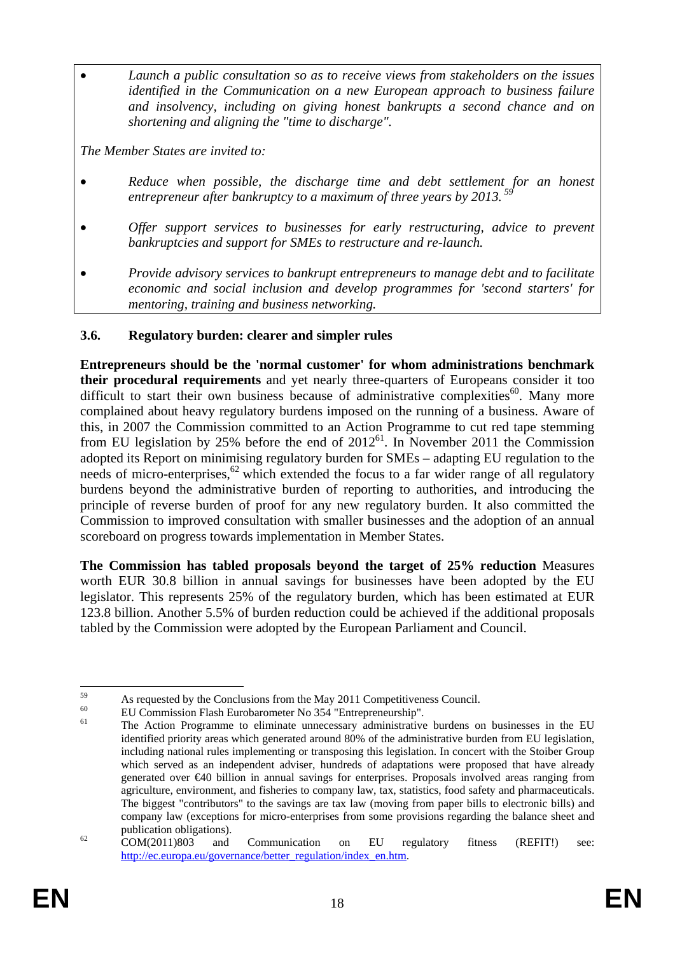• *Launch a public consultation so as to receive views from stakeholders on the issues identified in the Communication on a new European approach to business failure and insolvency, including on giving honest bankrupts a second chance and on shortening and aligning the "time to discharge".* 

*The Member States are invited to:* 

- *Reduce when possible, the discharge time and debt settlement for an honest entrepreneur after bankruptcy to a maximum of three years by 2013. 59*
- *Offer support services to businesses for early restructuring, advice to prevent bankruptcies and support for SMEs to restructure and re-launch.*
- *Provide advisory services to bankrupt entrepreneurs to manage debt and to facilitate economic and social inclusion and develop programmes for 'second starters' for mentoring, training and business networking.*

### <span id="page-17-0"></span>**3.6. Regulatory burden: clearer and simpler rules**

**Entrepreneurs should be the 'normal customer' for whom administrations benchmark their procedural requirements** and yet nearly three-quarters of Europeans consider it too difficult to start their own business because of administrative complexities $60$ . Many more complained about heavy regulatory burdens imposed on the running of a business. Aware of this, in 2007 the Commission committed to an Action Programme to cut red tape stemming from EU legislation by 25% before the end of  $2012^{61}$ . In November 2011 the Commission adopted its Report on minimising regulatory burden for SMEs – adapting EU regulation to the needs of micro-enterprises, $62$  which extended the focus to a far wider range of all regulatory burdens beyond the administrative burden of reporting to authorities, and introducing the principle of reverse burden of proof for any new regulatory burden. It also committed the Commission to improved consultation with smaller businesses and the adoption of an annual scoreboard on progress towards implementation in Member States.

**The Commission has tabled proposals beyond the target of 25% reduction** Measures worth EUR 30.8 billion in annual savings for businesses have been adopted by the EU legislator. This represents 25% of the regulatory burden, which has been estimated at EUR 123.8 billion. Another 5.5% of burden reduction could be achieved if the additional proposals tabled by the Commission were adopted by the European Parliament and Council.

<sup>59</sup>  $^{59}$  As requested by the Conclusions from the May 2011 Competitiveness Council.

<sup>&</sup>lt;sup>60</sup> EU Commission Flash Eurobarometer No 354 "Entrepreneurship".

<sup>61</sup> The Action Programme to eliminate unnecessary administrative burdens on businesses in the EU identified priority areas which generated around 80% of the administrative burden from EU legislation, including national rules implementing or transposing this legislation. In concert with the Stoiber Group which served as an independent adviser, hundreds of adaptations were proposed that have already generated over €40 billion in annual savings for enterprises. Proposals involved areas ranging from agriculture, environment, and fisheries to company law, tax, statistics, food safety and pharmaceuticals. The biggest "contributors" to the savings are tax law (moving from paper bills to electronic bills) and company law (exceptions for micro-enterprises from some provisions regarding the balance sheet and

publication obligations).<br><sup>62</sup> COM(2011)803 and Communication on EU regulatory fitness (REFIT!) see: [http://ec.europa.eu/governance/better\\_regulation/index\\_en.htm.](http://ec.europa.eu/governance/better_regulation/index_en.htm)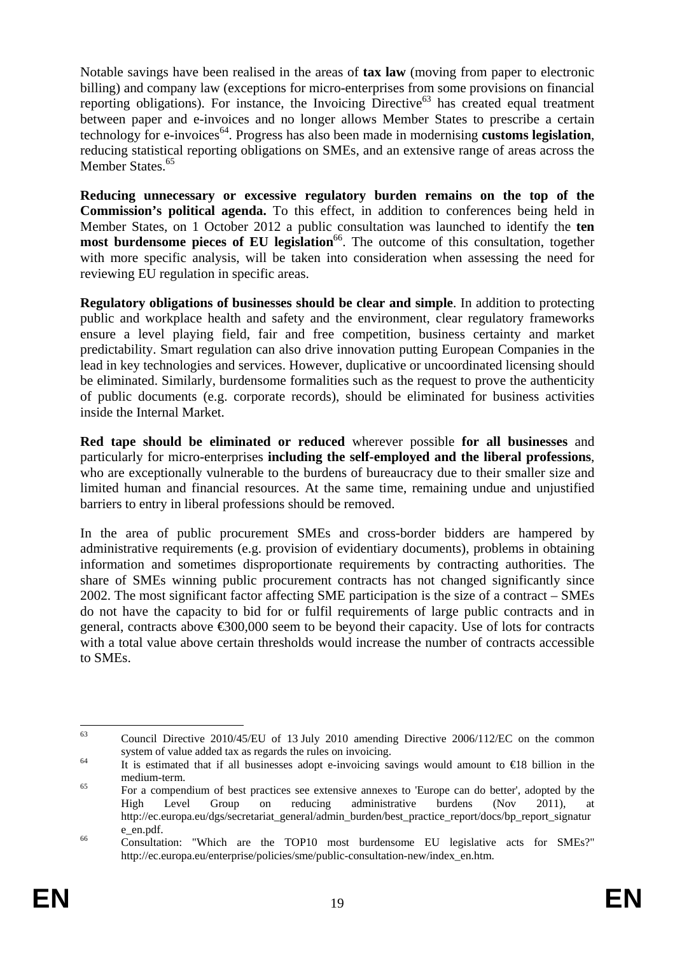Notable savings have been realised in the areas of **tax law** (moving from paper to electronic billing) and company law (exceptions for micro-enterprises from some provisions on financial reporting obligations). For instance, the Invoicing Directive<sup>63</sup> has created equal treatment between paper and e-invoices and no longer allows Member States to prescribe a certain technology for e-invoices<sup>64</sup>. Progress has also been made in modernising **customs legislation**, reducing statistical reporting obligations on SMEs, and an extensive range of areas across the Member States.<sup>65</sup>

**Reducing unnecessary or excessive regulatory burden remains on the top of the Commission's political agenda.** To this effect, in addition to conferences being held in Member States, on 1 October 2012 a public consultation was launched to identify the **ten most burdensome pieces of EU legislation**<sup>66</sup>. The outcome of this consultation, together with more specific analysis, will be taken into consideration when assessing the need for reviewing EU regulation in specific areas.

**Regulatory obligations of businesses should be clear and simple**. In addition to protecting public and workplace health and safety and the environment, clear regulatory frameworks ensure a level playing field, fair and free competition, business certainty and market predictability. Smart regulation can also drive innovation putting European Companies in the lead in key technologies and services. However, duplicative or uncoordinated licensing should be eliminated. Similarly, burdensome formalities such as the request to prove the authenticity of public documents (e.g. corporate records), should be eliminated for business activities inside the Internal Market.

**Red tape should be eliminated or reduced** wherever possible **for all businesses** and particularly for micro-enterprises **including the self-employed and the liberal professions**, who are exceptionally vulnerable to the burdens of bureaucracy due to their smaller size and limited human and financial resources. At the same time, remaining undue and unjustified barriers to entry in liberal professions should be removed.

In the area of public procurement SMEs and cross-border bidders are hampered by administrative requirements (e.g. provision of evidentiary documents), problems in obtaining information and sometimes disproportionate requirements by contracting authorities. The share of SMEs winning public procurement contracts has not changed significantly since 2002. The most significant factor affecting SME participation is the size of a contract – SMEs do not have the capacity to bid for or fulfil requirements of large public contracts and in general, contracts above €300,000 seem to be beyond their capacity. Use of lots for contracts with a total value above certain thresholds would increase the number of contracts accessible to SMEs.

<sup>63</sup> 63 Council Directive 2010/45/EU of 13 July 2010 amending Directive 2006/112/EC on the common system of value added tax as regards the rules on invoicing.<br>
It is estimated that if all businesses adopt e-invoicing savings would amount to  $\epsilon$ 18 billion in the

medium-term.<br><sup>65</sup> For a compendium of best practices see extensive annexes to 'Europe can do better', adopted by the

High Level Group on reducing administrative burdens (Nov 2011), at http://ec.europa.eu/dgs/secretariat\_general/admin\_burden/best\_practice\_report/docs/bp\_report\_signatur

e\_en.pdf.<br><sup>66</sup> Consultation: "Which are the TOP10 most burdensome EU legislative acts for SMEs?" http://ec.europa.eu/enterprise/policies/sme/public-consultation-new/index\_en.htm.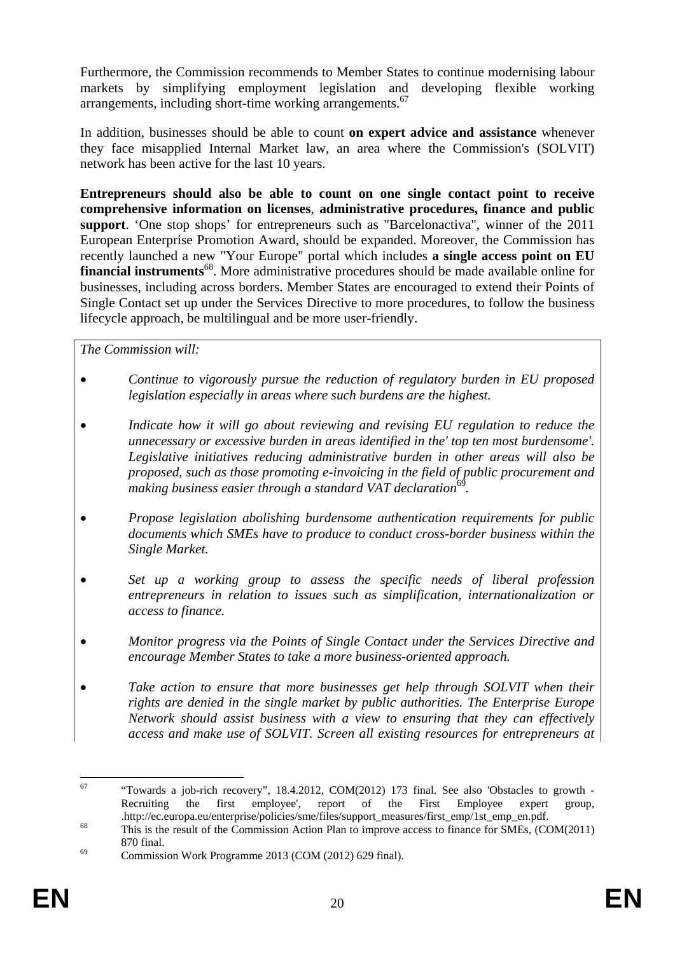Furthermore, the Commission recommends to Member States to continue modernising labour markets by simplifying employment legislation and developing flexible working arrangements, including short-time working arrangements.<sup>67</sup>

In addition, businesses should be able to count **on expert advice and assistance** whenever they face misapplied Internal Market law, an area where the Commission's (SOLVIT) network has been active for the last 10 years.

**Entrepreneurs should also be able to count on one single contact point to receive comprehensive information on licenses**, **administrative procedures, finance and public support**. 'One stop shops' for entrepreneurs such as "Barcelonactiva", winner of the 2011 European Enterprise Promotion Award, should be expanded. Moreover, the Commission has recently launched a new "Your Europe" portal which includes **a single access point on EU financial instruments**<sup>68</sup>. More administrative procedures should be made available online for businesses, including across borders. Member States are encouraged to extend their Points of Single Contact set up under the Services Directive to more procedures, to follow the business lifecycle approach, be multilingual and be more user-friendly.

*The Commission will:* 

- *Continue to vigorously pursue the reduction of regulatory burden in EU proposed legislation especially in areas where such burdens are the highest.*
- *Indicate how it will go about reviewing and revising EU regulation to reduce the unnecessary or excessive burden in areas identified in the' top ten most burdensome'. Legislative initiatives reducing administrative burden in other areas will also be proposed, such as those promoting e-invoicing in the field of public procurement and making business easier through a standard VAT declaration*<sup>69</sup>.
- *Propose legislation abolishing burdensome authentication requirements for public documents which SMEs have to produce to conduct cross-border business within the Single Market.*
- *Set up a working group to assess the specific needs of liberal profession entrepreneurs in relation to issues such as simplification, internationalization or access to finance.*
- *Monitor progress via the Points of Single Contact under the Services Directive and encourage Member States to take a more business-oriented approach.*
- *Take action to ensure that more businesses get help through SOLVIT when their rights are denied in the single market by public authorities. The Enterprise Europe Network should assist business with a view to ensuring that they can effectively access and make use of SOLVIT. Screen all existing resources for entrepreneurs at*

<sup>67</sup> "Towards a job-rich recovery", 18.4.2012, COM(2012) 173 final. See also 'Obstacles to growth -Recruiting the first employee', report of the First Employee expert group,

<sup>.</sup>http://ec.europa.eu/enterprise/policies/sme/files/support\_measures/first\_emp/1st\_emp\_en.pdf. 68 This is the result of the Commission Action Plan to improve access to finance for SMEs, (COM(2011) 870 final.<br>
Commission Work Programme 2013 (COM (2012) 629 final).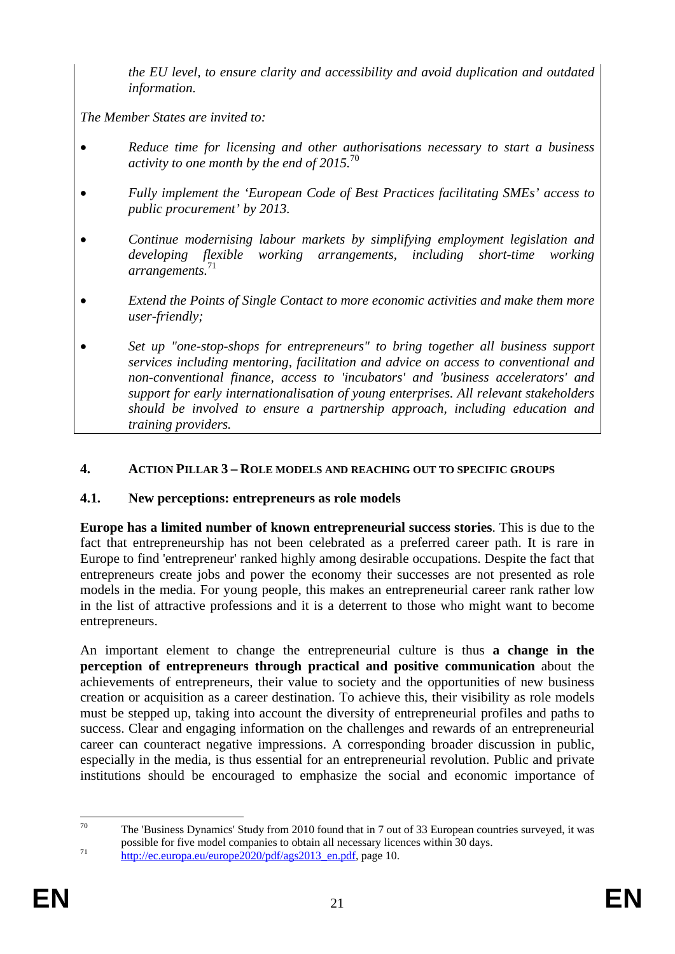*the EU level, to ensure clarity and accessibility and avoid duplication and outdated information.* 

*The Member States are invited to:* 

- *Reduce time for licensing and other authorisations necessary to start a business activity to one month by the end of 2015.*<sup>70</sup>
- *Fully implement the 'European Code of Best Practices facilitating SMEs' access to public procurement' by 2013.*
- *Continue modernising labour markets by simplifying employment legislation and developing flexible working arrangements, including short-time working arrangements.*<sup>71</sup>
- *Extend the Points of Single Contact to more economic activities and make them more user-friendly;*
- *Set up "one-stop-shops for entrepreneurs" to bring together all business support services including mentoring, facilitation and advice on access to conventional and non-conventional finance, access to 'incubators' and 'business accelerators' and support for early internationalisation of young enterprises. All relevant stakeholders should be involved to ensure a partnership approach, including education and training providers.*

#### <span id="page-20-0"></span>**4. ACTION PILLAR 3 – ROLE MODELS AND REACHING OUT TO SPECIFIC GROUPS**

### <span id="page-20-1"></span>**4.1. New perceptions: entrepreneurs as role models**

**Europe has a limited number of known entrepreneurial success stories**. This is due to the fact that entrepreneurship has not been celebrated as a preferred career path. It is rare in Europe to find 'entrepreneur' ranked highly among desirable occupations. Despite the fact that entrepreneurs create jobs and power the economy their successes are not presented as role models in the media. For young people, this makes an entrepreneurial career rank rather low in the list of attractive professions and it is a deterrent to those who might want to become entrepreneurs.

An important element to change the entrepreneurial culture is thus **a change in the perception of entrepreneurs through practical and positive communication** about the achievements of entrepreneurs, their value to society and the opportunities of new business creation or acquisition as a career destination. To achieve this, their visibility as role models must be stepped up, taking into account the diversity of entrepreneurial profiles and paths to success. Clear and engaging information on the challenges and rewards of an entrepreneurial career can counteract negative impressions. A corresponding broader discussion in public, especially in the media, is thus essential for an entrepreneurial revolution. Public and private institutions should be encouraged to emphasize the social and economic importance of

 $70$ The 'Business Dynamics' Study from 2010 found that in 7 out of 33 European countries surveyed, it was [possible for five model companies to obtain all neces](http://ec.europa.eu/europe2020/pdf/ags2013_en.pdf)sary licences within 30 days.<br>http://ec.europa.eu/europe2020/pdf/ags2013\_en.pdf, page 10.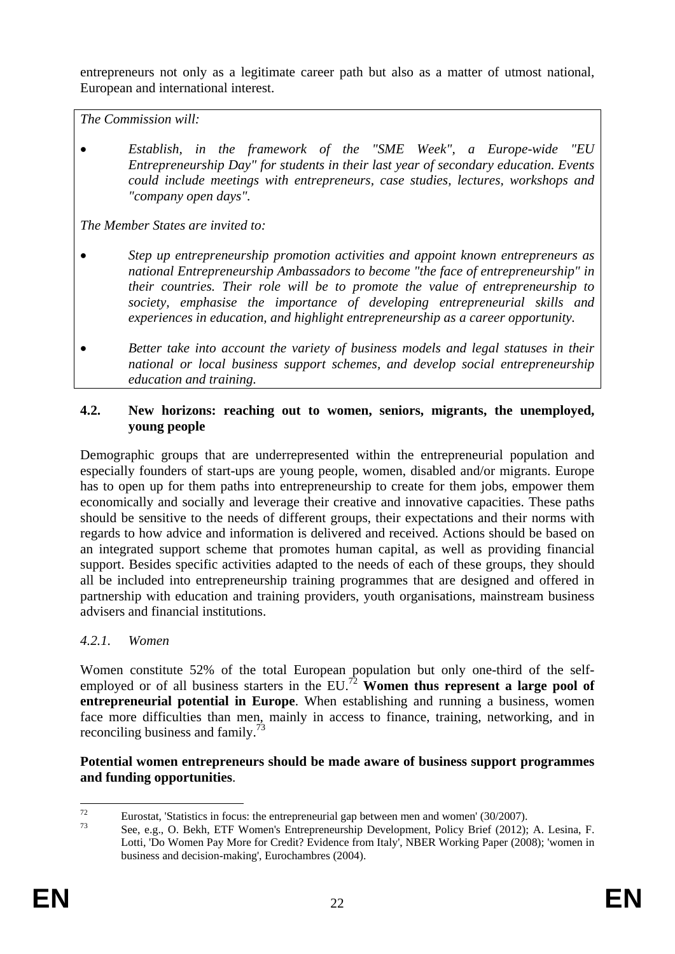entrepreneurs not only as a legitimate career path but also as a matter of utmost national, European and international interest.

*The Commission will:* 

• *Establish, in the framework of the "SME Week", a Europe-wide "EU Entrepreneurship Day" for students in their last year of secondary education. Events could include meetings with entrepreneurs, case studies, lectures, workshops and "company open days".* 

*The Member States are invited to:* 

- *Step up entrepreneurship promotion activities and appoint known entrepreneurs as national Entrepreneurship Ambassadors to become "the face of entrepreneurship" in their countries. Their role will be to promote the value of entrepreneurship to society, emphasise the importance of developing entrepreneurial skills and experiences in education, and highlight entrepreneurship as a career opportunity.*
- *Better take into account the variety of business models and legal statuses in their national or local business support schemes, and develop social entrepreneurship education and training.*

#### <span id="page-21-0"></span>**4.2. New horizons: reaching out to women, seniors, migrants, the unemployed, young people**

Demographic groups that are underrepresented within the entrepreneurial population and especially founders of start-ups are young people, women, disabled and/or migrants. Europe has to open up for them paths into entrepreneurship to create for them jobs, empower them economically and socially and leverage their creative and innovative capacities. These paths should be sensitive to the needs of different groups, their expectations and their norms with regards to how advice and information is delivered and received. Actions should be based on an integrated support scheme that promotes human capital, as well as providing financial support. Besides specific activities adapted to the needs of each of these groups, they should all be included into entrepreneurship training programmes that are designed and offered in partnership with education and training providers, youth organisations, mainstream business advisers and financial institutions.

### <span id="page-21-1"></span>*4.2.1. Women*

Women constitute 52% of the total European population but only one-third of the selfemployed or of all business starters in the  $EU^{72}$  Women thus represent a large pool of **entrepreneurial potential in Europe**. When establishing and running a business, women face more difficulties than men, mainly in access to finance, training, networking, and in reconciling business and family.<sup>73</sup>

#### **Potential women entrepreneurs should be made aware of business support programmes and funding opportunities**.

 $72$ Eurostat, 'Statistics in focus: the entrepreneurial gap between men and women' (30/2007).<br>
See, e.g., O. Bekh, ETF Women's Entrepreneurship Development, Policy Brief (2012); A. Lesina, F.

Lotti, 'Do Women Pay More for Credit? Evidence from Italy', NBER Working Paper (2008); 'women in business and decision-making', Eurochambres (2004).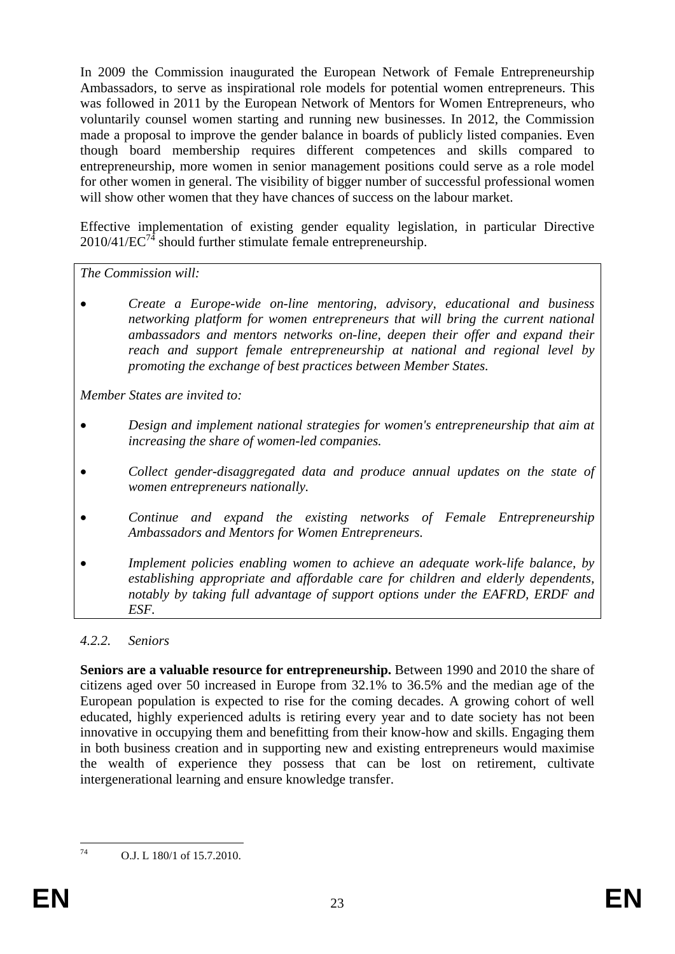In 2009 the Commission inaugurated the European Network of Female Entrepreneurship Ambassadors, to serve as inspirational role models for potential women entrepreneurs. This was followed in 2011 by the European Network of Mentors for Women Entrepreneurs, who voluntarily counsel women starting and running new businesses. In 2012, the Commission made a proposal to improve the gender balance in boards of publicly listed companies. Even though board membership requires different competences and skills compared to entrepreneurship, more women in senior management positions could serve as a role model for other women in general. The visibility of bigger number of successful professional women will show other women that they have chances of success on the labour market.

Effective implementation of existing gender equality legislation, in particular Directive  $2010/41/EC^{74}$  should further stimulate female entrepreneurship.

*The Commission will:* 

• *Create a Europe-wide on-line mentoring, advisory, educational and business networking platform for women entrepreneurs that will bring the current national ambassadors and mentors networks on-line, deepen their offer and expand their reach and support female entrepreneurship at national and regional level by promoting the exchange of best practices between Member States.* 

*Member States are invited to:* 

- *Design and implement national strategies for women's entrepreneurship that aim at increasing the share of women-led companies.*
- *Collect gender-disaggregated data and produce annual updates on the state of women entrepreneurs nationally.*
- *Continue and expand the existing networks of Female Entrepreneurship Ambassadors and Mentors for Women Entrepreneurs.*
- *Implement policies enabling women to achieve an adequate work-life balance, by establishing appropriate and affordable care for children and elderly dependents, notably by taking full advantage of support options under the EAFRD, ERDF and ESF.*

### <span id="page-22-0"></span>*4.2.2. Seniors*

**Seniors are a valuable resource for entrepreneurship.** Between 1990 and 2010 the share of citizens aged over 50 increased in Europe from 32.1% to 36.5% and the median age of the European population is expected to rise for the coming decades. A growing cohort of well educated, highly experienced adults is retiring every year and to date society has not been innovative in occupying them and benefitting from their know-how and skills. Engaging them in both business creation and in supporting new and existing entrepreneurs would maximise the wealth of experience they possess that can be lost on retirement, cultivate intergenerational learning and ensure knowledge transfer.

74

O.J. L 180/1 of 15.7.2010.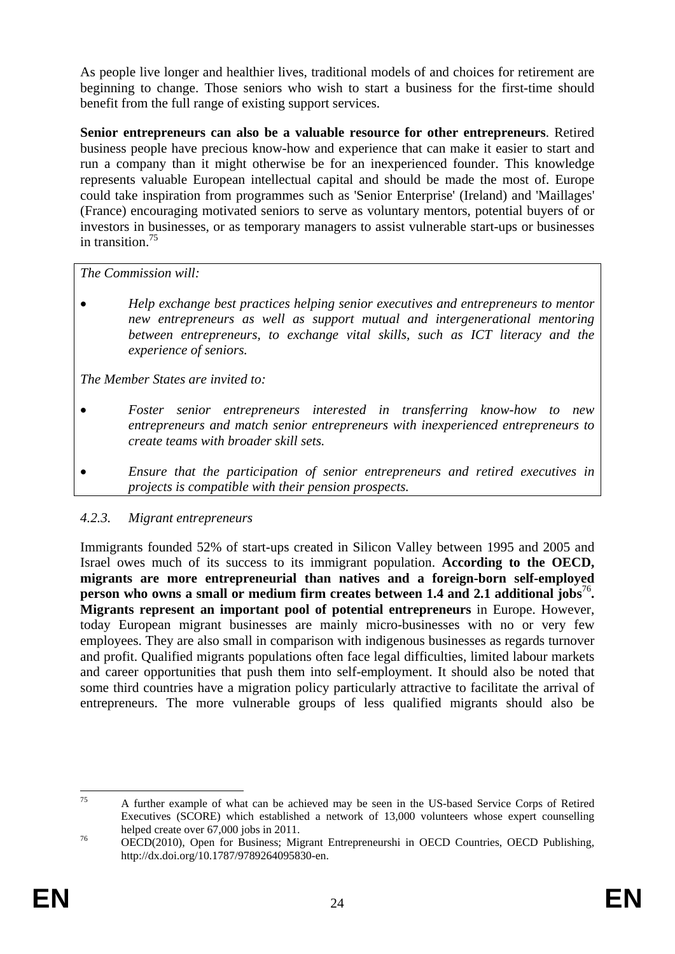As people live longer and healthier lives, traditional models of and choices for retirement are beginning to change. Those seniors who wish to start a business for the first-time should benefit from the full range of existing support services.

**Senior entrepreneurs can also be a valuable resource for other entrepreneurs**. Retired business people have precious know-how and experience that can make it easier to start and run a company than it might otherwise be for an inexperienced founder. This knowledge represents valuable European intellectual capital and should be made the most of. Europe could take inspiration from programmes such as 'Senior Enterprise' (Ireland) and 'Maillages' (France) encouraging motivated seniors to serve as voluntary mentors, potential buyers of or investors in businesses, or as temporary managers to assist vulnerable start-ups or businesses in transition.75

*The Commission will:* 

• *Help exchange best practices helping senior executives and entrepreneurs to mentor new entrepreneurs as well as support mutual and intergenerational mentoring between entrepreneurs, to exchange vital skills, such as ICT literacy and the experience of seniors.* 

*The Member States are invited to:* 

- *Foster senior entrepreneurs interested in transferring know-how to new entrepreneurs and match senior entrepreneurs with inexperienced entrepreneurs to create teams with broader skill sets.*
- *Ensure that the participation of senior entrepreneurs and retired executives in projects is compatible with their pension prospects.*

### <span id="page-23-0"></span>*4.2.3. Migrant entrepreneurs*

Immigrants founded 52% of start-ups created in Silicon Valley between 1995 and 2005 and Israel owes much of its success to its immigrant population. **According to the OECD, migrants are more entrepreneurial than natives and a foreign-born self-employed person who owns a small or medium firm creates between 1.4 and 2.1 additional jobs<sup>76</sup>. Migrants represent an important pool of potential entrepreneurs** in Europe. However, today European migrant businesses are mainly micro-businesses with no or very few employees. They are also small in comparison with indigenous businesses as regards turnover and profit. Qualified migrants populations often face legal difficulties, limited labour markets and career opportunities that push them into self-employment. It should also be noted that some third countries have a migration policy particularly attractive to facilitate the arrival of entrepreneurs. The more vulnerable groups of less qualified migrants should also be

 $75$ 75 A further example of what can be achieved may be seen in the US-based Service Corps of Retired Executives (SCORE) which established a network of 13,000 volunteers whose expert counselling helped create over 67,000 jobs in 2011.<br>
<sup>76</sup> OECD(2010), Open for Business; Migrant Entrepreneurshi in OECD Countries, OECD Publishing,

http://dx.doi.org/10.1787/9789264095830-en.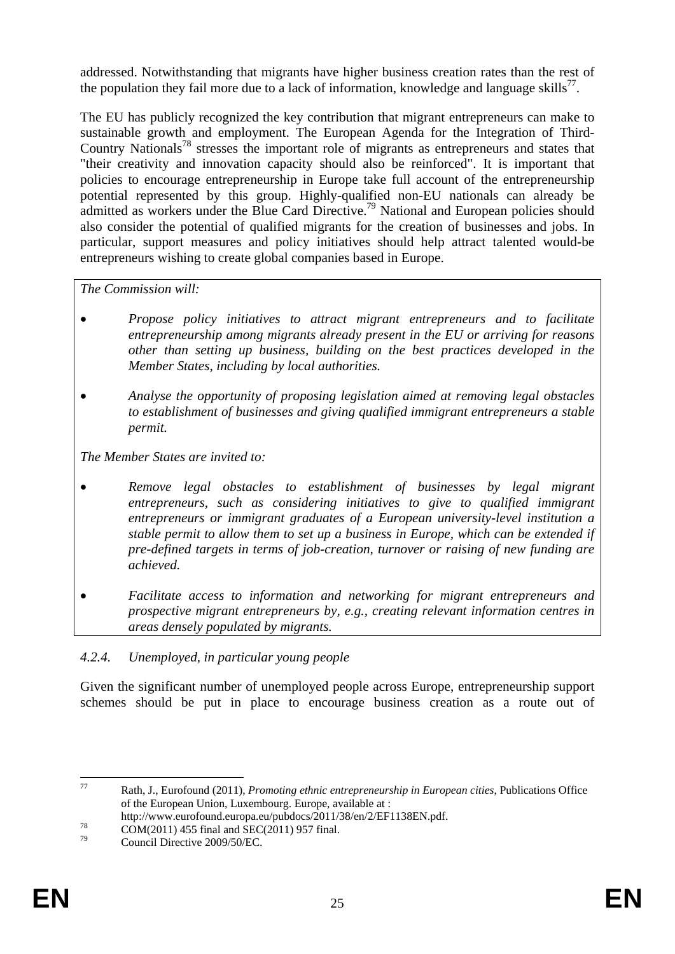addressed. Notwithstanding that migrants have higher business creation rates than the rest of the population they fail more due to a lack of information, knowledge and language skills<sup>77</sup>.

The EU has publicly recognized the key contribution that migrant entrepreneurs can make to sustainable growth and employment. The European Agenda for the Integration of Third-Country Nationals<sup>78</sup> stresses the important role of migrants as entrepreneurs and states that "their creativity and innovation capacity should also be reinforced". It is important that policies to encourage entrepreneurship in Europe take full account of the entrepreneurship potential represented by this group. Highly-qualified non-EU nationals can already be admitted as workers under the Blue Card Directive.<sup>79</sup> National and European policies should also consider the potential of qualified migrants for the creation of businesses and jobs. In particular, support measures and policy initiatives should help attract talented would-be entrepreneurs wishing to create global companies based in Europe.

*The Commission will:* 

- *Propose policy initiatives to attract migrant entrepreneurs and to facilitate entrepreneurship among migrants already present in the EU or arriving for reasons other than setting up business, building on the best practices developed in the Member States, including by local authorities.*
- *Analyse the opportunity of proposing legislation aimed at removing legal obstacles to establishment of businesses and giving qualified immigrant entrepreneurs a stable permit.*

*The Member States are invited to:* 

- *Remove legal obstacles to establishment of businesses by legal migrant entrepreneurs, such as considering initiatives to give to qualified immigrant entrepreneurs or immigrant graduates of a European university-level institution a stable permit to allow them to set up a business in Europe, which can be extended if pre-defined targets in terms of job-creation, turnover or raising of new funding are achieved.*
- *Facilitate access to information and networking for migrant entrepreneurs and prospective migrant entrepreneurs by, e.g., creating relevant information centres in areas densely populated by migrants.*

# <span id="page-24-0"></span>*4.2.4. Unemployed, in particular young people*

Given the significant number of unemployed people across Europe, entrepreneurship support schemes should be put in place to encourage business creation as a route out of

<sup>77</sup> 77 Rath, J., Eurofound (2011), *Promoting ethnic entrepreneurship in European cities*, Publications Office of the European Union, Luxembourg. Europe, available at :

http://www.eurofound.europa.eu/pubdocs/2011/38/en/2/EF1138EN.pdf.<br>
COM(2011) 455 final and SEC(2011) 957 final.<br>  $\frac{79}{2}$ 

Council Directive 2009/50/EC.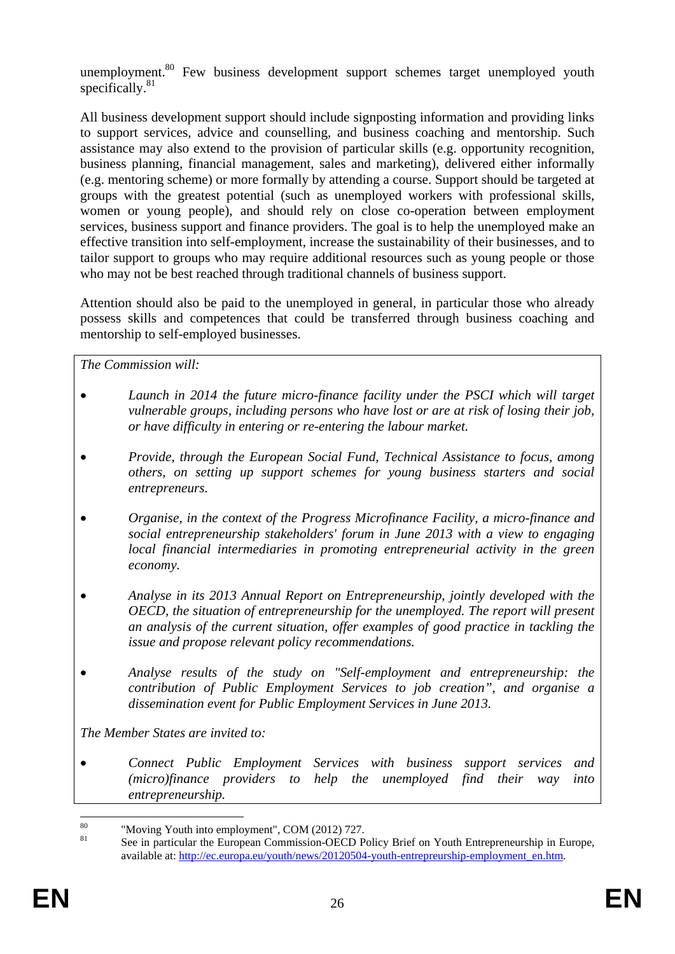unemployment.<sup>80</sup> Few business development support schemes target unemployed youth specifically.<sup>81</sup>

All business development support should include signposting information and providing links to support services, advice and counselling, and business coaching and mentorship. Such assistance may also extend to the provision of particular skills (e.g. opportunity recognition, business planning, financial management, sales and marketing), delivered either informally (e.g. mentoring scheme) or more formally by attending a course. Support should be targeted at groups with the greatest potential (such as unemployed workers with professional skills, women or young people), and should rely on close co-operation between employment services, business support and finance providers. The goal is to help the unemployed make an effective transition into self-employment, increase the sustainability of their businesses, and to tailor support to groups who may require additional resources such as young people or those who may not be best reached through traditional channels of business support.

Attention should also be paid to the unemployed in general, in particular those who already possess skills and competences that could be transferred through business coaching and mentorship to self-employed businesses.

*The Commission will:* 

- *Launch in 2014 the future micro-finance facility under the PSCI which will target vulnerable groups, including persons who have lost or are at risk of losing their job, or have difficulty in entering or re-entering the labour market.*
- *Provide, through the European Social Fund, Technical Assistance to focus, among others, on setting up support schemes for young business starters and social entrepreneurs.*
- *Organise, in the context of the Progress Microfinance Facility, a micro-finance and social entrepreneurship stakeholders' forum in June 2013 with a view to engaging local financial intermediaries in promoting entrepreneurial activity in the green economy.*
- *Analyse in its 2013 Annual Report on Entrepreneurship, jointly developed with the OECD, the situation of entrepreneurship for the unemployed. The report will present an analysis of the current situation, offer examples of good practice in tackling the issue and propose relevant policy recommendations.*
- *Analyse results of the study on "Self-employment and entrepreneurship: the contribution of Public Employment Services to job creation", and organise a dissemination event for Public Employment Services in June 2013.*

*The Member States are invited to:* 

• *Connect Public Employment Services with business support services and (micro)finance providers to help the unemployed find their way into entrepreneurship.* 

<sup>80</sup>  $\frac{80}{100}$  "Moving Youth into employment", COM (2012) 727.

See in particular the European Commission-OECD Policy Brief on Youth Entrepreneurship in Europe, available at: http://ec.europa.eu/youth/news/20120504-youth-entrepreurship-employment\_en.htm.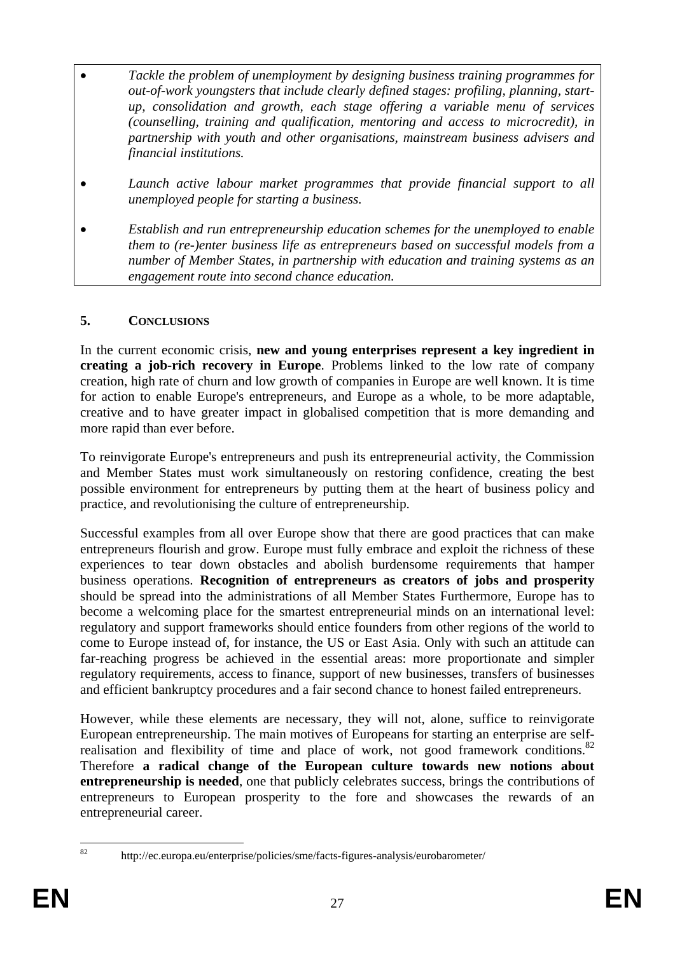- *Tackle the problem of unemployment by designing business training programmes for out-of-work youngsters that include clearly defined stages: profiling, planning, startup, consolidation and growth, each stage offering a variable menu of services (counselling, training and qualification, mentoring and access to microcredit), in partnership with youth and other organisations, mainstream business advisers and financial institutions.*
- *Launch active labour market programmes that provide financial support to all unemployed people for starting a business.*
- *Establish and run entrepreneurship education schemes for the unemployed to enable them to (re-)enter business life as entrepreneurs based on successful models from a number of Member States, in partnership with education and training systems as an engagement route into second chance education.*

### <span id="page-26-0"></span>**5. CONCLUSIONS**

In the current economic crisis, **new and young enterprises represent a key ingredient in creating a job-rich recovery in Europe**. Problems linked to the low rate of company creation, high rate of churn and low growth of companies in Europe are well known. It is time for action to enable Europe's entrepreneurs, and Europe as a whole, to be more adaptable, creative and to have greater impact in globalised competition that is more demanding and more rapid than ever before.

To reinvigorate Europe's entrepreneurs and push its entrepreneurial activity, the Commission and Member States must work simultaneously on restoring confidence, creating the best possible environment for entrepreneurs by putting them at the heart of business policy and practice, and revolutionising the culture of entrepreneurship.

Successful examples from all over Europe show that there are good practices that can make entrepreneurs flourish and grow. Europe must fully embrace and exploit the richness of these experiences to tear down obstacles and abolish burdensome requirements that hamper business operations. **Recognition of entrepreneurs as creators of jobs and prosperity** should be spread into the administrations of all Member States Furthermore, Europe has to become a welcoming place for the smartest entrepreneurial minds on an international level: regulatory and support frameworks should entice founders from other regions of the world to come to Europe instead of, for instance, the US or East Asia. Only with such an attitude can far-reaching progress be achieved in the essential areas: more proportionate and simpler regulatory requirements, access to finance, support of new businesses, transfers of businesses and efficient bankruptcy procedures and a fair second chance to honest failed entrepreneurs.

However, while these elements are necessary, they will not, alone, suffice to reinvigorate European entrepreneurship. The main motives of Europeans for starting an enterprise are selfrealisation and flexibility of time and place of work, not good framework conditions. $82$ Therefore **a radical change of the European culture towards new notions about entrepreneurship is needed**, one that publicly celebrates success, brings the contributions of entrepreneurs to European prosperity to the fore and showcases the rewards of an entrepreneurial career.

<sup>82</sup> 

<sup>82</sup> http://ec.europa.eu/enterprise/policies/sme/facts-figures-analysis/eurobarometer/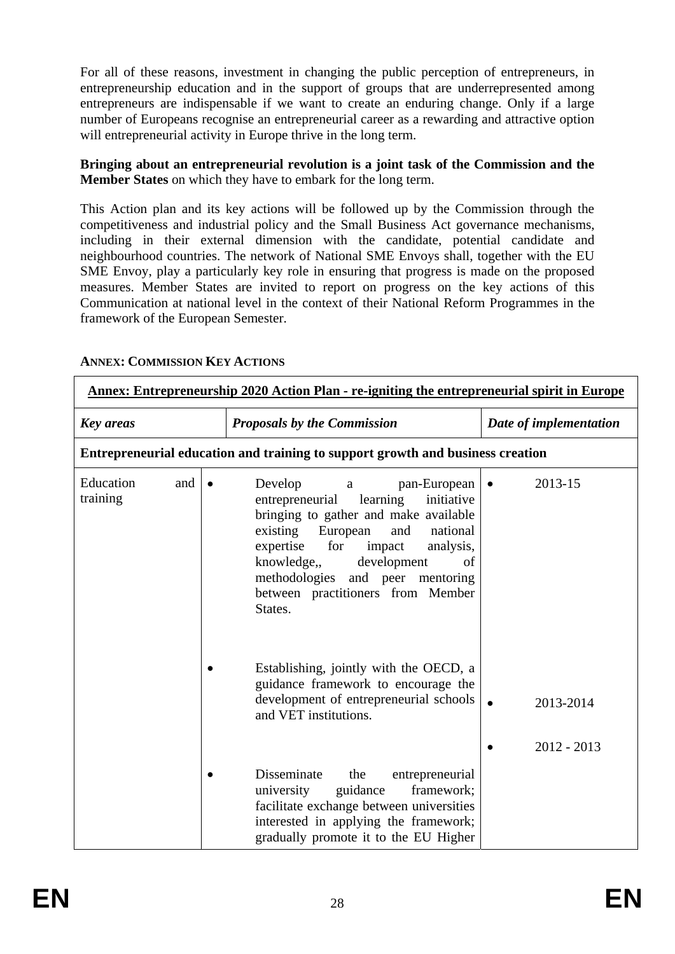For all of these reasons, investment in changing the public perception of entrepreneurs, in entrepreneurship education and in the support of groups that are underrepresented among entrepreneurs are indispensable if we want to create an enduring change. Only if a large number of Europeans recognise an entrepreneurial career as a rewarding and attractive option will entrepreneurial activity in Europe thrive in the long term.

#### **Bringing about an entrepreneurial revolution is a joint task of the Commission and the Member States** on which they have to embark for the long term.

This Action plan and its key actions will be followed up by the Commission through the competitiveness and industrial policy and the Small Business Act governance mechanisms, including in their external dimension with the candidate, potential candidate and neighbourhood countries. The network of National SME Envoys shall, together with the EU SME Envoy, play a particularly key role in ensuring that progress is made on the proposed measures. Member States are invited to report on progress on the key actions of this Communication at national level in the context of their National Reform Programmes in the framework of the European Semester.

<span id="page-27-1"></span>

| <u>Annex: Entrepreneurship 2020 Action Plan - re-igniting the entrepreneurial spirit in Europe</u> |                                                                                |           |                                                                                                                                                                                                                                                                                                                                            |                        |                            |
|----------------------------------------------------------------------------------------------------|--------------------------------------------------------------------------------|-----------|--------------------------------------------------------------------------------------------------------------------------------------------------------------------------------------------------------------------------------------------------------------------------------------------------------------------------------------------|------------------------|----------------------------|
| <b>Key areas</b>                                                                                   |                                                                                |           | <b>Proposals by the Commission</b>                                                                                                                                                                                                                                                                                                         | Date of implementation |                            |
|                                                                                                    | Entrepreneurial education and training to support growth and business creation |           |                                                                                                                                                                                                                                                                                                                                            |                        |                            |
| Education<br>training                                                                              | and                                                                            | $\bullet$ | Develop<br>pan-European<br>$\mathbf{a}$<br>learning<br>initiative<br>entrepreneurial<br>bringing to gather and make available<br>existing<br>European<br>national<br>and<br>expertise<br>for<br>impact<br>analysis,<br>development<br>knowledge,<br>of<br>methodologies and peer mentoring<br>between practitioners from Member<br>States. | $\bullet$              | 2013-15                    |
|                                                                                                    |                                                                                |           | Establishing, jointly with the OECD, a<br>guidance framework to encourage the<br>development of entrepreneurial schools<br>and VET institutions.                                                                                                                                                                                           | $\bullet$              | 2013-2014<br>$2012 - 2013$ |
|                                                                                                    |                                                                                |           | Disseminate<br>the<br>entrepreneurial<br>framework;<br>guidance<br>university<br>facilitate exchange between universities<br>interested in applying the framework;<br>gradually promote it to the EU Higher                                                                                                                                |                        |                            |

### <span id="page-27-0"></span>**ANNEX: COMMISSION KEY ACTIONS**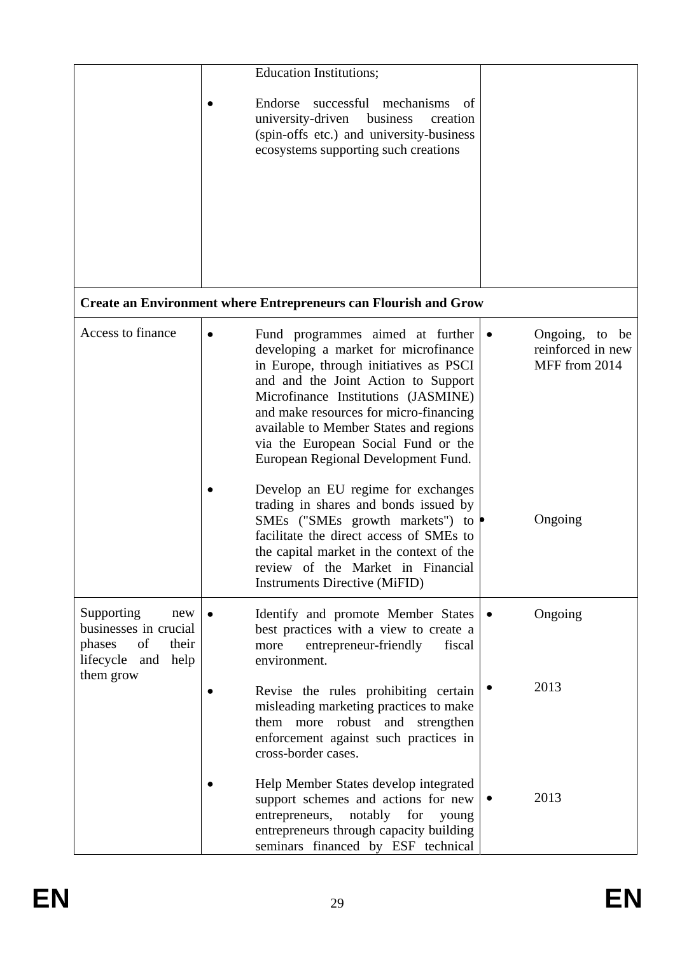|                                                                                              | <b>Education Institutions;</b>                                                                                                                                                                                                                                                                                                                                                            |                                                      |
|----------------------------------------------------------------------------------------------|-------------------------------------------------------------------------------------------------------------------------------------------------------------------------------------------------------------------------------------------------------------------------------------------------------------------------------------------------------------------------------------------|------------------------------------------------------|
|                                                                                              | Endorse successful mechanisms of<br>university-driven<br>business<br>creation<br>(spin-offs etc.) and university-business<br>ecosystems supporting such creations                                                                                                                                                                                                                         |                                                      |
|                                                                                              |                                                                                                                                                                                                                                                                                                                                                                                           |                                                      |
|                                                                                              | <b>Create an Environment where Entrepreneurs can Flourish and Grow</b>                                                                                                                                                                                                                                                                                                                    |                                                      |
| Access to finance                                                                            | Fund programmes aimed at further $\bullet$<br>$\bullet$<br>developing a market for microfinance<br>in Europe, through initiatives as PSCI<br>and and the Joint Action to Support<br>Microfinance Institutions (JASMINE)<br>and make resources for micro-financing<br>available to Member States and regions<br>via the European Social Fund or the<br>European Regional Development Fund. | Ongoing, to be<br>reinforced in new<br>MFF from 2014 |
|                                                                                              | Develop an EU regime for exchanges<br>trading in shares and bonds issued by<br>SMEs ("SMEs growth markets") to $\bullet$<br>facilitate the direct access of SMEs to<br>the capital market in the context of the<br>review of the Market in Financial<br><b>Instruments Directive (MiFID)</b>                                                                                              | Ongoing                                              |
| Supporting<br>new<br>businesses in crucial<br>of<br>their<br>phases<br>lifecycle and<br>help | Identify and promote Member States<br>best practices with a view to create a<br>more<br>entrepreneur-friendly<br>fiscal<br>environment.                                                                                                                                                                                                                                                   | Ongoing                                              |
| them grow                                                                                    | Revise the rules prohibiting certain<br>misleading marketing practices to make<br>them more robust and strengthen<br>enforcement against such practices in<br>cross-border cases.                                                                                                                                                                                                         | 2013                                                 |
|                                                                                              | Help Member States develop integrated<br>support schemes and actions for new<br>entrepreneurs,<br>notably<br>for<br>young<br>entrepreneurs through capacity building<br>seminars financed by ESF technical                                                                                                                                                                                | 2013<br>$\bullet$                                    |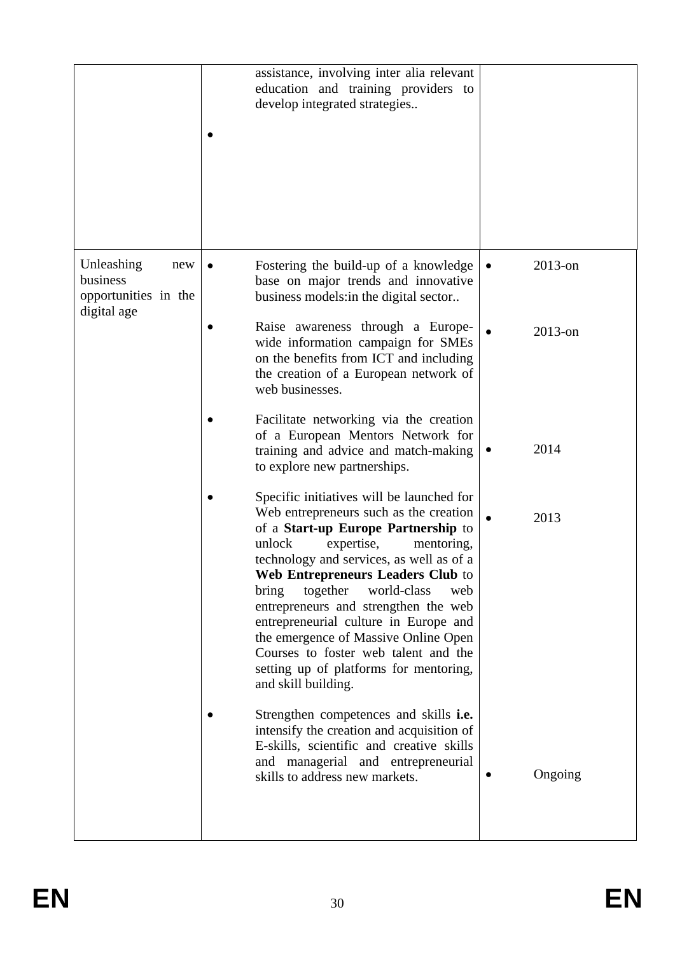|                                                                      | assistance, involving inter alia relevant<br>education and training providers to<br>develop integrated strategies                                                                                                                                                                                                                                                                                                                                                                                                              |                         |
|----------------------------------------------------------------------|--------------------------------------------------------------------------------------------------------------------------------------------------------------------------------------------------------------------------------------------------------------------------------------------------------------------------------------------------------------------------------------------------------------------------------------------------------------------------------------------------------------------------------|-------------------------|
| Unleashing<br>new<br>business<br>opportunities in the<br>digital age | Fostering the build-up of a knowledge<br>base on major trends and innovative<br>business models: in the digital sector                                                                                                                                                                                                                                                                                                                                                                                                         | $2013$ -on<br>$\bullet$ |
|                                                                      | Raise awareness through a Europe-<br>wide information campaign for SMEs<br>on the benefits from ICT and including<br>the creation of a European network of<br>web businesses.                                                                                                                                                                                                                                                                                                                                                  | $2013$ -on              |
|                                                                      | Facilitate networking via the creation<br>of a European Mentors Network for<br>training and advice and match-making<br>to explore new partnerships.                                                                                                                                                                                                                                                                                                                                                                            | 2014                    |
|                                                                      | Specific initiatives will be launched for<br>Web entrepreneurs such as the creation<br>of a Start-up Europe Partnership to<br>unlock<br>expertise,<br>mentoring,<br>technology and services, as well as of a<br>Web Entrepreneurs Leaders Club to<br>together<br>bring<br>world-class<br>web<br>entrepreneurs and strengthen the web<br>entrepreneurial culture in Europe and<br>the emergence of Massive Online Open<br>Courses to foster web talent and the<br>setting up of platforms for mentoring,<br>and skill building. | 2013                    |
|                                                                      | Strengthen competences and skills i.e.<br>intensify the creation and acquisition of<br>E-skills, scientific and creative skills<br>and managerial and entrepreneurial<br>skills to address new markets.                                                                                                                                                                                                                                                                                                                        | Ongoing                 |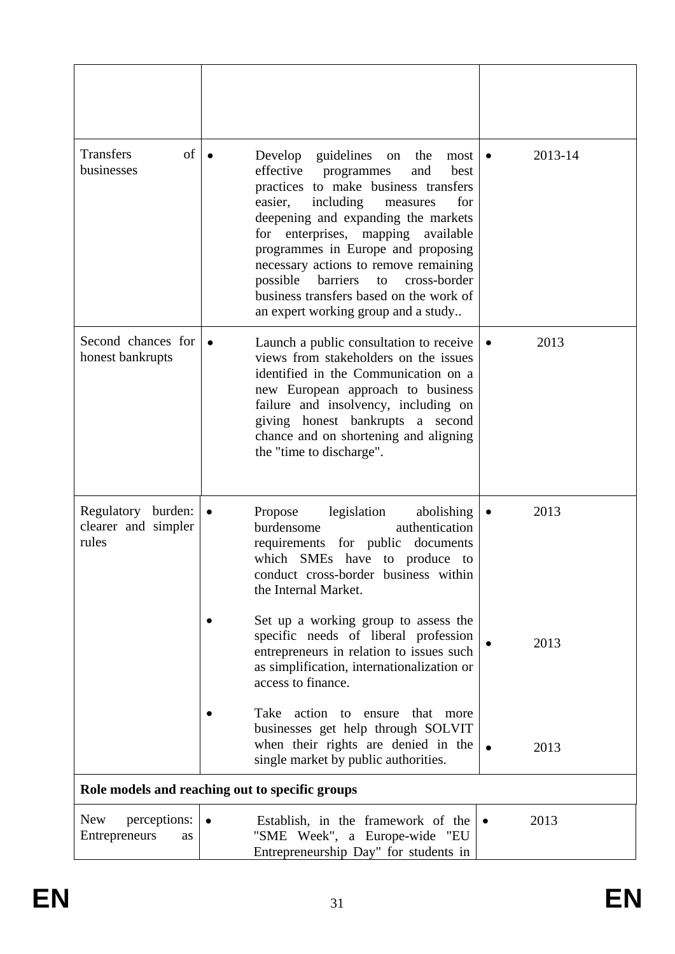| of<br>Transfers<br>businesses                      | Develop<br>guidelines<br>the<br>on<br>most<br>effective<br>programmes<br>and<br>best<br>practices to make business transfers<br>including<br>easier.<br>for<br>measures<br>deepening and expanding the markets<br>for enterprises, mapping available<br>programmes in Europe and proposing<br>necessary actions to remove remaining<br>barriers<br>cross-border<br>possible<br>to<br>business transfers based on the work of<br>an expert working group and a study | 2013-14<br>٠      |
|----------------------------------------------------|---------------------------------------------------------------------------------------------------------------------------------------------------------------------------------------------------------------------------------------------------------------------------------------------------------------------------------------------------------------------------------------------------------------------------------------------------------------------|-------------------|
| Second chances for<br>honest bankrupts             | Launch a public consultation to receive<br>views from stakeholders on the issues<br>identified in the Communication on a<br>new European approach to business<br>failure and insolvency, including on<br>giving honest bankrupts a second<br>chance and on shortening and aligning<br>the "time to discharge".                                                                                                                                                      | 2013              |
| Regulatory burden:<br>clearer and simpler<br>rules | Propose<br>legislation<br>abolishing<br>$\bullet$<br>authentication<br>burdensome<br>requirements for public documents<br>which SMEs have to produce to<br>conduct cross-border business within<br>the Internal Market.                                                                                                                                                                                                                                             | 2013<br>$\bullet$ |
|                                                    | Set up a working group to assess the<br>specific needs of liberal profession<br>entrepreneurs in relation to issues such<br>as simplification, internationalization or<br>access to finance.                                                                                                                                                                                                                                                                        | 2013              |
|                                                    | action to<br>Take<br>ensure<br>that<br>more<br>businesses get help through SOLVIT<br>when their rights are denied in the<br>single market by public authorities.                                                                                                                                                                                                                                                                                                    | 2013              |
|                                                    | Role models and reaching out to specific groups                                                                                                                                                                                                                                                                                                                                                                                                                     |                   |
| <b>New</b><br>perceptions:<br>Entrepreneurs<br>as  | Establish, in the framework of the<br>"SME Week", a Europe-wide "EU<br>Entrepreneurship Day" for students in                                                                                                                                                                                                                                                                                                                                                        | 2013              |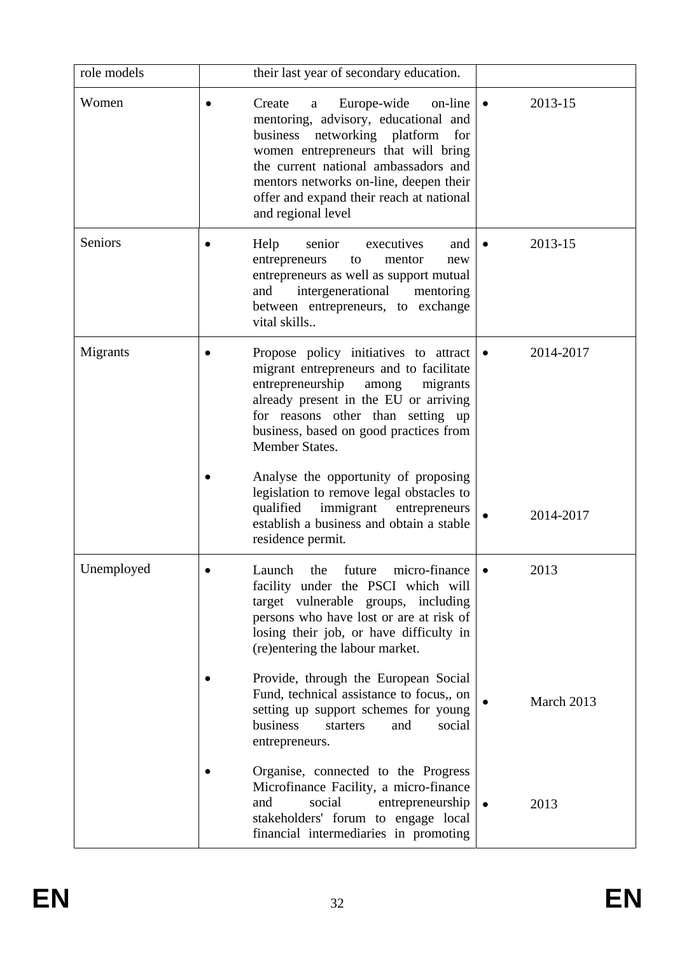| role models | their last year of secondary education.                                                                                                                                                                                                                                                                         |           |            |
|-------------|-----------------------------------------------------------------------------------------------------------------------------------------------------------------------------------------------------------------------------------------------------------------------------------------------------------------|-----------|------------|
| Women       | Europe-wide on-line<br>Create<br>a<br>mentoring, advisory, educational and<br>business<br>networking platform<br>for<br>women entrepreneurs that will bring<br>the current national ambassadors and<br>mentors networks on-line, deepen their<br>offer and expand their reach at national<br>and regional level | $\bullet$ | 2013-15    |
| Seniors     | senior<br>executives<br>Help<br>and<br>entrepreneurs<br>to<br>mentor<br>new<br>entrepreneurs as well as support mutual<br>intergenerational<br>mentoring<br>and<br>between entrepreneurs, to exchange<br>vital skills                                                                                           |           | 2013-15    |
| Migrants    | Propose policy initiatives to attract<br>migrant entrepreneurs and to facilitate<br>entrepreneurship<br>among<br>migrants<br>already present in the EU or arriving<br>for reasons other than setting up<br>business, based on good practices from<br>Member States.                                             |           | 2014-2017  |
|             | Analyse the opportunity of proposing<br>legislation to remove legal obstacles to<br>immigrant<br>qualified<br>entrepreneurs<br>establish a business and obtain a stable<br>residence permit.                                                                                                                    |           | 2014-2017  |
| Unemployed  | the<br>Launch<br>future<br>micro-finance<br>facility under the PSCI which will<br>target vulnerable groups, including<br>persons who have lost or are at risk of<br>losing their job, or have difficulty in<br>(re)entering the labour market.                                                                  |           | 2013       |
|             | Provide, through the European Social<br>Fund, technical assistance to focus,, on<br>setting up support schemes for young<br>business<br>starters<br>and<br>social<br>entrepreneurs.                                                                                                                             |           | March 2013 |
|             | Organise, connected to the Progress<br>Microfinance Facility, a micro-finance<br>and<br>social<br>entrepreneurship<br>stakeholders' forum to engage local<br>financial intermediaries in promoting                                                                                                              |           | 2013       |